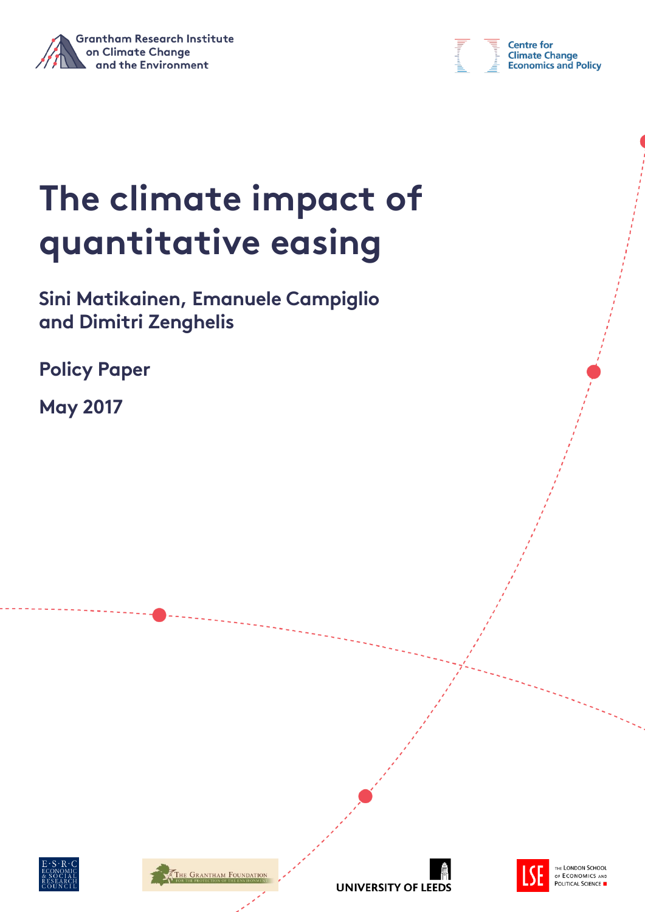



# **The climate impact of quantitative easing**

**Sini Matikainen, Emanuele Campiglio and Dimitri Zenghelis**

**Policy Paper** 

**May 2017**









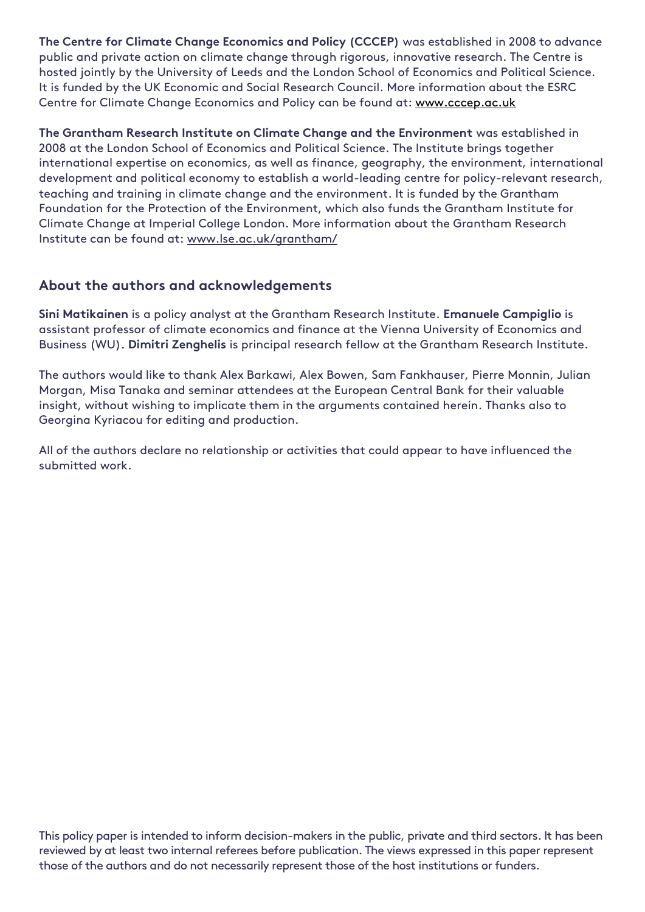**The Centre for Climate Change Economics and Policy (CCCEP)** was established in 2008 to advance public and private action on climate change through rigorous, innovative research. The Centre is hosted jointly by the University of Leeds and the London School of Economics and Political Science. It is funded by the UK Economic and Social Research Council. More information about the ESRC Centre for Climate Change Economics and Policy can be found at: [www.cccep.ac.uk](http://www.cccep.ac.uk/)

**The Grantham Research Institute on Climate Change and the Environment** was established in 2008 at the London School of Economics and Political Science. The Institute brings together international expertise on economics, as well as finance, geography, the environment, international development and political economy to establish a world-leading centre for policy-relevant research, teaching and training in climate change and the environment. It is funded by the Grantham Foundation for the Protection of the Environment, which also funds the Grantham Institute for Climate Change at Imperial College London. More information about the Grantham Research Institute can be found at: www.lse.ac.uk/grantham/

#### **About the authors and acknowledgements**

**Sini Matikainen** is a policy analyst at the Grantham Research Institute. **Emanuele Campiglio** is assistant professor of climate economics and finance at the Vienna University of Economics and Business (WU). **Dimitri Zenghelis** is principal research fellow at the Grantham Research Institute.

The authors would like to thank Alex Barkawi, Alex Bowen, Sam Fankhauser, Pierre Monnin, Julian Morgan, Misa Tanaka and seminar attendees at the European Central Bank for their valuable insight, without wishing to implicate them in the arguments contained herein. Thanks also to Georgina Kyriacou for editing and production.

All of the authors declare no relationship or activities that could appear to have influenced the submitted work.

This policy paper is intended to inform decision-makers in the public, private and third sectors. It has been reviewed by at least two internal referees before publication. The views expressed in this paper represent those of the authors and do not necessarily represent those of the host institutions or funders.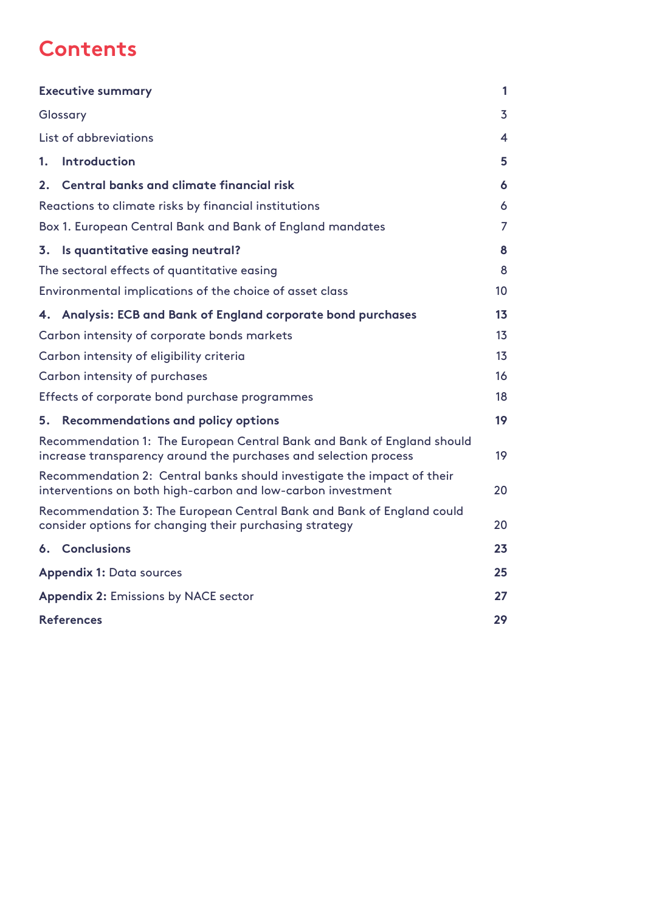### **Contents**

|                                                                                                                                            | <b>Executive summary</b>                                      |                |  |  |  |
|--------------------------------------------------------------------------------------------------------------------------------------------|---------------------------------------------------------------|----------------|--|--|--|
|                                                                                                                                            | Glossary                                                      |                |  |  |  |
|                                                                                                                                            | List of abbreviations                                         | 4              |  |  |  |
| 1.                                                                                                                                         | Introduction                                                  | 5              |  |  |  |
| 2.                                                                                                                                         | Central banks and climate financial risk                      | 6              |  |  |  |
|                                                                                                                                            | Reactions to climate risks by financial institutions          | 6              |  |  |  |
|                                                                                                                                            | Box 1. European Central Bank and Bank of England mandates     | $\overline{7}$ |  |  |  |
|                                                                                                                                            | 3. Is quantitative easing neutral?                            | 8              |  |  |  |
|                                                                                                                                            | The sectoral effects of quantitative easing                   | 8              |  |  |  |
|                                                                                                                                            | Environmental implications of the choice of asset class       | 10             |  |  |  |
|                                                                                                                                            | 4. Analysis: ECB and Bank of England corporate bond purchases | 13             |  |  |  |
|                                                                                                                                            | Carbon intensity of corporate bonds markets                   | 13             |  |  |  |
| Carbon intensity of eligibility criteria                                                                                                   |                                                               |                |  |  |  |
| Carbon intensity of purchases                                                                                                              |                                                               |                |  |  |  |
|                                                                                                                                            | Effects of corporate bond purchase programmes                 |                |  |  |  |
| 5.                                                                                                                                         | <b>Recommendations and policy options</b>                     | 19             |  |  |  |
| Recommendation 1: The European Central Bank and Bank of England should<br>increase transparency around the purchases and selection process |                                                               |                |  |  |  |
| Recommendation 2: Central banks should investigate the impact of their<br>interventions on both high-carbon and low-carbon investment      |                                                               |                |  |  |  |
| Recommendation 3: The European Central Bank and Bank of England could<br>consider options for changing their purchasing strategy           |                                                               |                |  |  |  |
|                                                                                                                                            | 6. Conclusions                                                | 23             |  |  |  |
| <b>Appendix 1: Data sources</b>                                                                                                            |                                                               |                |  |  |  |
| <b>Appendix 2: Emissions by NACE sector</b>                                                                                                |                                                               |                |  |  |  |
| <b>References</b>                                                                                                                          |                                                               |                |  |  |  |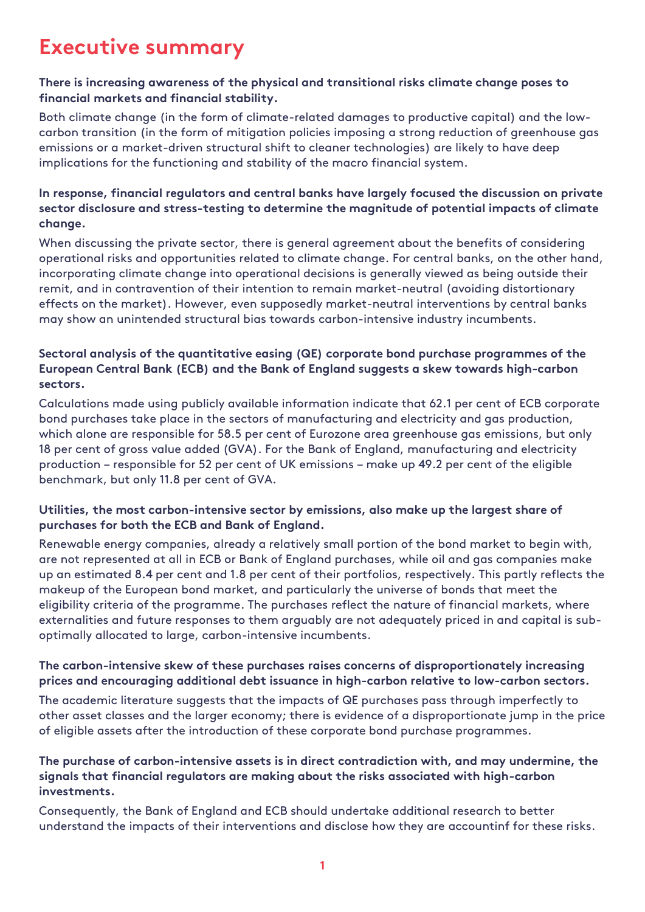### <span id="page-3-0"></span>**Executive summary**

#### **There is increasing awareness of the physical and transitional risks climate change poses to financial markets and financial stability.**

Both climate change (in the form of climate-related damages to productive capital) and the lowcarbon transition (in the form of mitigation policies imposing a strong reduction of greenhouse gas emissions or a market-driven structural shift to cleaner technologies) are likely to have deep implications for the functioning and stability of the macro financial system.

#### **In response, financial regulators and central banks have largely focused the discussion on private sector disclosure and stress-testing to determine the magnitude of potential impacts of climate change.**

When discussing the private sector, there is general agreement about the benefits of considering operational risks and opportunities related to climate change. For central banks, on the other hand, incorporating climate change into operational decisions is generally viewed as being outside their remit, and in contravention of their intention to remain market-neutral (avoiding distortionary effects on the market). However, even supposedly market-neutral interventions by central banks may show an unintended structural bias towards carbon-intensive industry incumbents.

#### **Sectoral analysis of the quantitative easing (QE) corporate bond purchase programmes of the European Central Bank (ECB) and the Bank of England suggests a skew towards high-carbon sectors.**

Calculations made using publicly available information indicate that 62.1 per cent of ECB corporate bond purchases take place in the sectors of manufacturing and electricity and gas production, which alone are responsible for 58.5 per cent of Eurozone area greenhouse gas emissions, but only 18 per cent of gross value added (GVA). For the Bank of England, manufacturing and electricity production – responsible for 52 per cent of UK emissions – make up 49.2 per cent of the eligible benchmark, but only 11.8 per cent of GVA.

#### **Utilities, the most carbon-intensive sector by emissions, also make up the largest share of purchases for both the ECB and Bank of England.**

Renewable energy companies, already a relatively small portion of the bond market to begin with, are not represented at all in ECB or Bank of England purchases, while oil and gas companies make up an estimated 8.4 per cent and 1.8 per cent of their portfolios, respectively. This partly reflects the makeup of the European bond market, and particularly the universe of bonds that meet the eligibility criteria of the programme. The purchases reflect the nature of financial markets, where externalities and future responses to them arguably are not adequately priced in and capital is suboptimally allocated to large, carbon-intensive incumbents.

#### **The carbon-intensive skew of these purchases raises concerns of disproportionately increasing prices and encouraging additional debt issuance in high-carbon relative to low-carbon sectors.**

The academic literature suggests that the impacts of QE purchases pass through imperfectly to other asset classes and the larger economy; there is evidence of a disproportionate jump in the price of eligible assets after the introduction of these corporate bond purchase programmes.

#### **The purchase of carbon-intensive assets is in direct contradiction with, and may undermine, the signals that financial regulators are making about the risks associated with high-carbon investments.**

Consequently, the Bank of England and ECB should undertake additional research to better understand the impacts of their interventions and disclose how they are accountinf for these risks.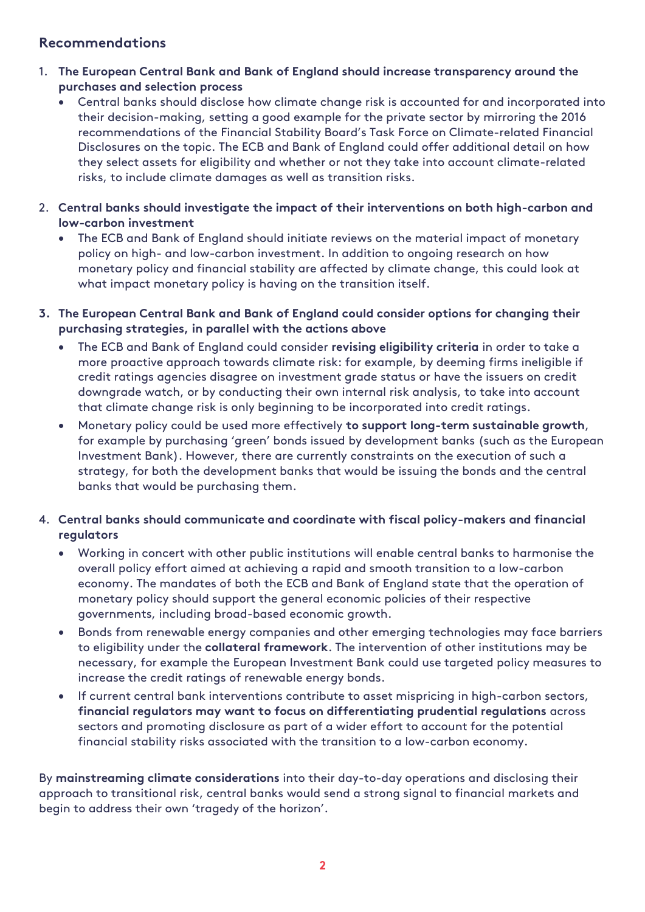#### **Recommendations**

- 1. **The European Central Bank and Bank of England should increase transparency around the purchases and selection process** 
	- Central banks should disclose how climate change risk is accounted for and incorporated into their decision-making, setting a good example for the private sector by mirroring the 2016 recommendations of the Financial Stability Board's Task Force on Climate-related Financial Disclosures on the topic. The ECB and Bank of England could offer additional detail on how they select assets for eligibility and whether or not they take into account climate-related risks, to include climate damages as well as transition risks.
- 2. **Central banks should investigate the impact of their interventions on both high-carbon and low-carbon investment** 
	- The ECB and Bank of England should initiate reviews on the material impact of monetary policy on high- and low-carbon investment. In addition to ongoing research on how monetary policy and financial stability are affected by climate change, this could look at what impact monetary policy is having on the transition itself.
- **3. The European Central Bank and Bank of England could consider options for changing their purchasing strategies, in parallel with the actions above**
	- The ECB and Bank of England could consider **revising eligibility criteria** in order to take a more proactive approach towards climate risk: for example, by deeming firms ineligible if credit ratings agencies disagree on investment grade status or have the issuers on credit downgrade watch, or by conducting their own internal risk analysis, to take into account that climate change risk is only beginning to be incorporated into credit ratings.
	- Monetary policy could be used more effectively **to support long-term sustainable growth**, for example by purchasing 'green' bonds issued by development banks (such as the European Investment Bank). However, there are currently constraints on the execution of such a strategy, for both the development banks that would be issuing the bonds and the central banks that would be purchasing them.
- 4. **Central banks should communicate and coordinate with fiscal policy-makers and financial regulators** 
	- Working in concert with other public institutions will enable central banks to harmonise the overall policy effort aimed at achieving a rapid and smooth transition to a low-carbon economy. The mandates of both the ECB and Bank of England state that the operation of monetary policy should support the general economic policies of their respective governments, including broad-based economic growth.
	- Bonds from renewable energy companies and other emerging technologies may face barriers to eligibility under the **collateral framework**. The intervention of other institutions may be necessary, for example the European Investment Bank could use targeted policy measures to increase the credit ratings of renewable energy bonds.
	- If current central bank interventions contribute to asset mispricing in high-carbon sectors, **financial regulators may want to focus on differentiating prudential regulations** across sectors and promoting disclosure as part of a wider effort to account for the potential financial stability risks associated with the transition to a low-carbon economy.

By **mainstreaming climate considerations** into their day-to-day operations and disclosing their approach to transitional risk, central banks would send a strong signal to financial markets and begin to address their own 'tragedy of the horizon'.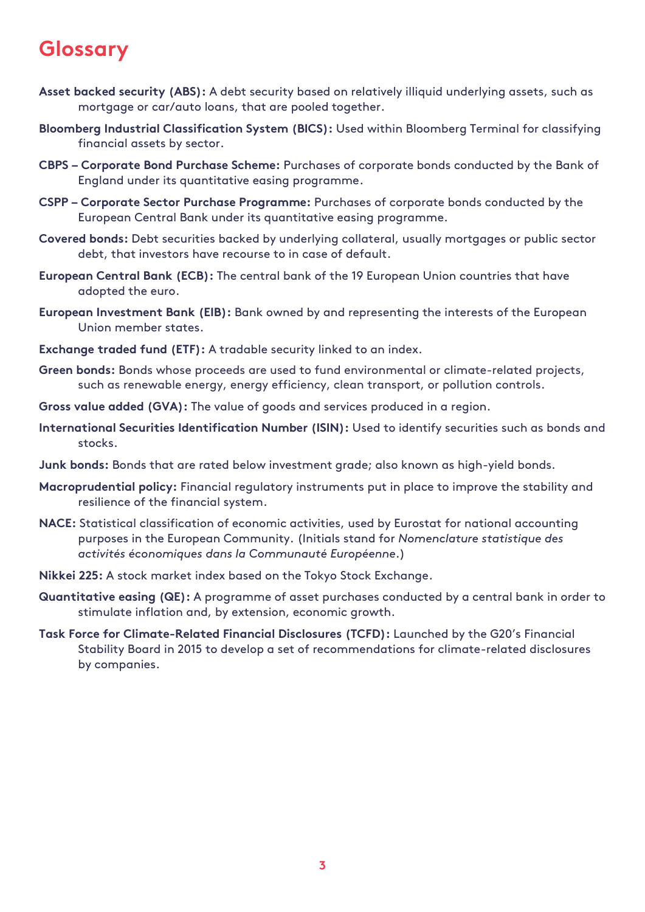### <span id="page-5-0"></span>**Glossary**

- **Asset backed security (ABS):** A debt security based on relatively illiquid underlying assets, such as mortgage or car/auto loans, that are pooled together.
- **Bloomberg Industrial Classification System (BICS):** Used within Bloomberg Terminal for classifying financial assets by sector.
- **CBPS – Corporate Bond Purchase Scheme:** Purchases of corporate bonds conducted by the Bank of England under its quantitative easing programme.
- **CSPP – Corporate Sector Purchase Programme:** Purchases of corporate bonds conducted by the European Central Bank under its quantitative easing programme.
- **Covered bonds:** Debt securities backed by underlying collateral, usually mortgages or public sector debt, that investors have recourse to in case of default.
- **European Central Bank (ECB):** The central bank of the 19 European Union countries that have adopted the euro.
- **European Investment Bank (EIB):** Bank owned by and representing the interests of the European Union member states.
- **Exchange traded fund (ETF):** A tradable security linked to an index.
- **Green bonds:** Bonds whose proceeds are used to fund environmental or climate-related projects, such as renewable energy, energy efficiency, clean transport, or pollution controls.
- **Gross value added (GVA):** The value of goods and services produced in a region.
- **International Securities Identification Number (ISIN):** Used to identify securities such as bonds and stocks.
- **Junk bonds:** Bonds that are rated below investment grade; also known as high-yield bonds.
- **Macroprudential policy:** Financial regulatory instruments put in place to improve the stability and resilience of the financial system.
- **NACE:** Statistical classification of economic activities, used by Eurostat for national accounting purposes in the European Community. (Initials stand for *Nomenclature statistique des activités économiques dans la Communauté Européenne*.)
- **Nikkei 225:** A stock market index based on the Tokyo Stock Exchange.
- **Quantitative easing (QE):** A programme of asset purchases conducted by a central bank in order to stimulate inflation and, by extension, economic growth.
- **Task Force for Climate-Related Financial Disclosures (TCFD):** Launched by the G20's Financial Stability Board in 2015 to develop a set of recommendations for climate-related disclosures by companies.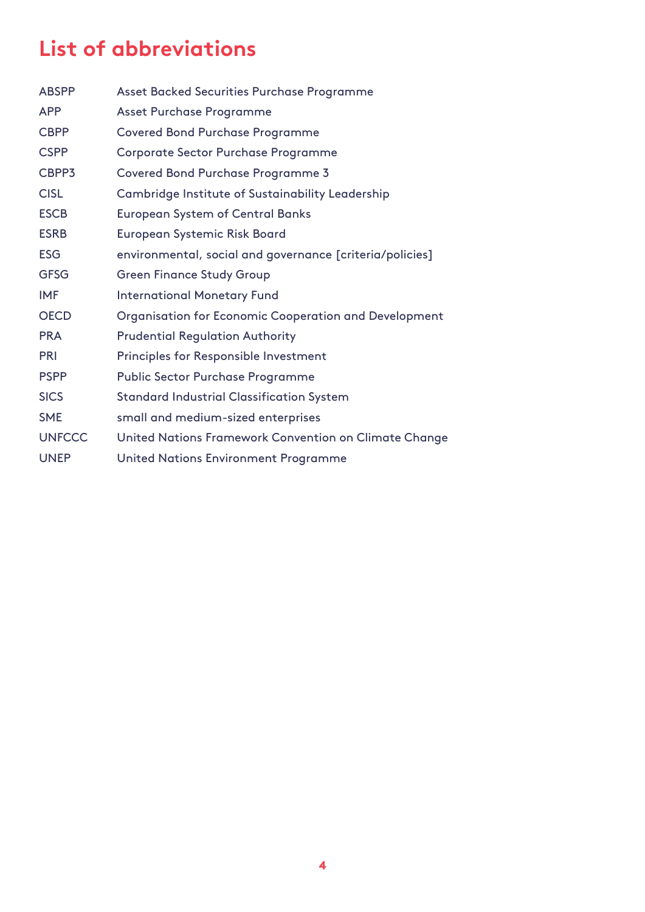### <span id="page-6-0"></span>**List of abbreviations**

| <b>ABSPP</b>  | Asset Backed Securities Purchase Programme               |
|---------------|----------------------------------------------------------|
| <b>APP</b>    | Asset Purchase Programme                                 |
| <b>CBPP</b>   | <b>Covered Bond Purchase Programme</b>                   |
| <b>CSPP</b>   | Corporate Sector Purchase Programme                      |
| CBPP3         | <b>Covered Bond Purchase Programme 3</b>                 |
| <b>CISL</b>   | Cambridge Institute of Sustainability Leadership         |
| <b>ESCB</b>   | <b>European System of Central Banks</b>                  |
| <b>ESRB</b>   | European Systemic Risk Board                             |
| <b>ESG</b>    | environmental, social and governance [criteria/policies] |
| <b>GFSG</b>   | <b>Green Finance Study Group</b>                         |
| <b>IMF</b>    | <b>International Monetary Fund</b>                       |
| <b>OECD</b>   | Organisation for Economic Cooperation and Development    |
| <b>PRA</b>    | <b>Prudential Regulation Authority</b>                   |
| <b>PRI</b>    | <b>Principles for Responsible Investment</b>             |
| <b>PSPP</b>   | <b>Public Sector Purchase Programme</b>                  |
| <b>SICS</b>   | <b>Standard Industrial Classification System</b>         |
| <b>SME</b>    | small and medium-sized enterprises                       |
| <b>UNFCCC</b> | United Nations Framework Convention on Climate Change    |
| <b>UNEP</b>   | United Nations Environment Programme                     |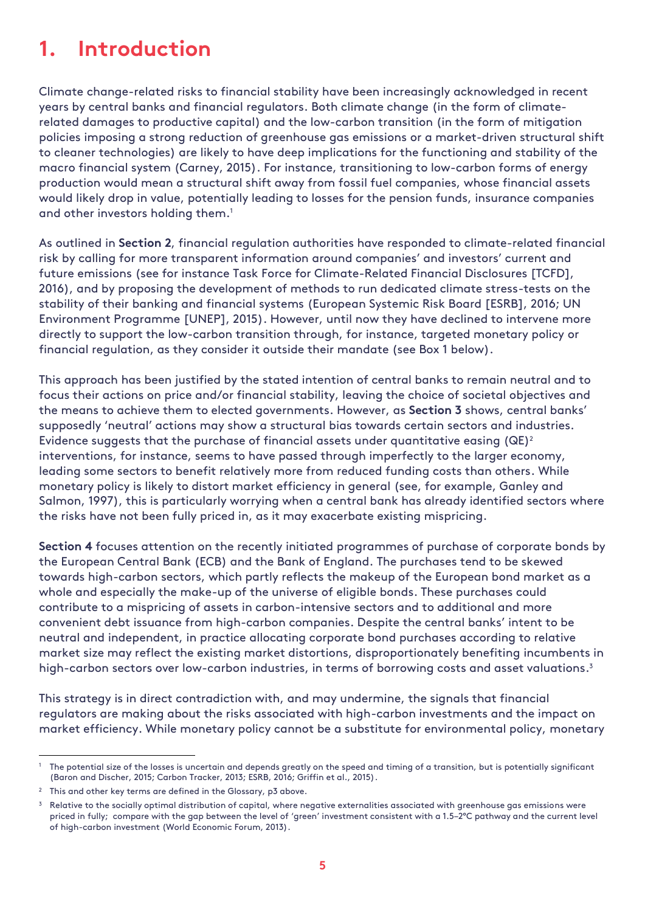### <span id="page-7-0"></span>**1. Introduction**

Climate change-related risks to financial stability have been increasingly acknowledged in recent years by central banks and financial regulators. Both climate change (in the form of climaterelated damages to productive capital) and the low-carbon transition (in the form of mitigation policies imposing a strong reduction of greenhouse gas emissions or a market-driven structural shift to cleaner technologies) are likely to have deep implications for the functioning and stability of the macro financial system (Carney, 2015). For instance, transitioning to low-carbon forms of energy production would mean a structural shift away from fossil fuel companies, whose financial assets would likely drop in value, potentially leading to losses for the pension funds, insurance companies and other investors holding them.<sup>1</sup>

As outlined in **Section 2**, financial regulation authorities have responded to climate-related financial risk by calling for more transparent information around companies' and investors' current and future emissions (see for instance Task Force for Climate-Related Financial Disclosures [TCFD], 2016), and by proposing the development of methods to run dedicated climate stress-tests on the stability of their banking and financial systems (European Systemic Risk Board [ESRB], 2016; UN Environment Programme [UNEP], 2015). However, until now they have declined to intervene more directly to support the low-carbon transition through, for instance, targeted monetary policy or financial regulation, as they consider it outside their mandate (see Box 1 below).

This approach has been justified by the stated intention of central banks to remain neutral and to focus their actions on price and/or financial stability, leaving the choice of societal objectives and the means to achieve them to elected governments. However, as **Section 3** shows, central banks' supposedly 'neutral' actions may show a structural bias towards certain sectors and industries. Evidence suggests that the purchase of financial assets under quantitative easing  $(QE)^2$ interventions, for instance, seems to have passed through imperfectly to the larger economy, leading some sectors to benefit relatively more from reduced funding costs than others. While monetary policy is likely to distort market efficiency in general (see, for example, Ganley and Salmon, 1997), this is particularly worrying when a central bank has already identified sectors where the risks have not been fully priced in, as it may exacerbate existing mispricing.

**Section 4** focuses attention on the recently initiated programmes of purchase of corporate bonds by the European Central Bank (ECB) and the Bank of England. The purchases tend to be skewed towards high-carbon sectors, which partly reflects the makeup of the European bond market as a whole and especially the make-up of the universe of eligible bonds. These purchases could contribute to a mispricing of assets in carbon-intensive sectors and to additional and more convenient debt issuance from high-carbon companies. Despite the central banks' intent to be neutral and independent, in practice allocating corporate bond purchases according to relative market size may reflect the existing market distortions, disproportionately benefiting incumbents in high-carbon sectors over low-carbon industries, in terms of borrowing costs and asset valuations. 3

This strategy is in direct contradiction with, and may undermine, the signals that financial regulators are making about the risks associated with high-carbon investments and the impact on market efficiency. While monetary policy cannot be a substitute for environmental policy, monetary

-

<sup>&</sup>lt;sup>1</sup> The potential size of the losses is uncertain and depends greatly on the speed and timing of a transition, but is potentially significant (Baron and Discher, 2015; Carbon Tracker, 2013; ESRB, 2016; Griffin et al., 2015).

<sup>&</sup>lt;sup>2</sup> This and other key terms are defined in the Glossary, p3 above.

<sup>&</sup>lt;sup>3</sup> Relative to the socially optimal distribution of capital, where negative externalities associated with greenhouse gas emissions were priced in fully; compare with the gap between the level of 'green' investment consistent with a 1.5–2°C pathway and the current level of high-carbon investment (World Economic Forum, 2013).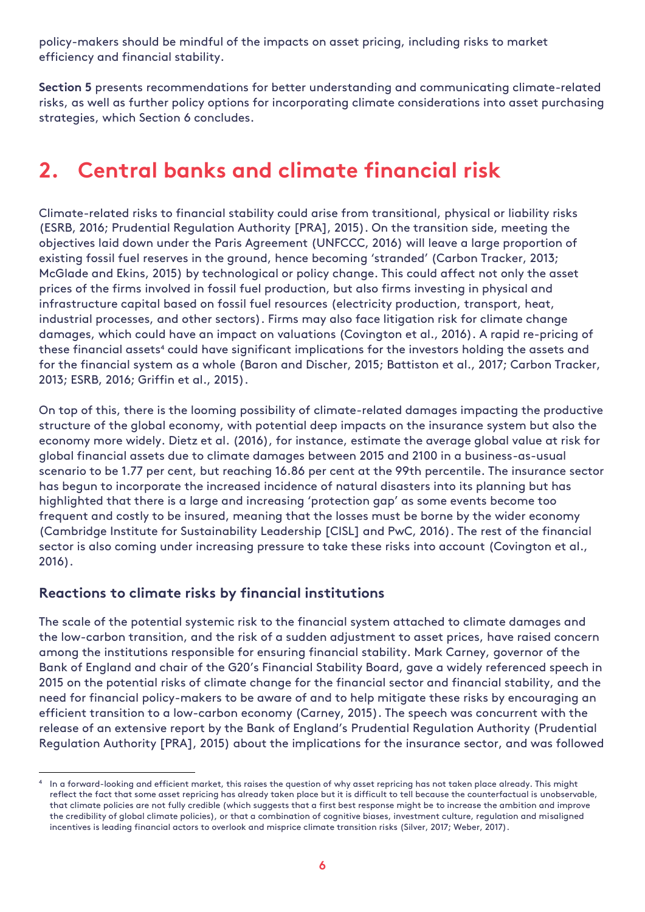policy-makers should be mindful of the impacts on asset pricing, including risks to market efficiency and financial stability.

**Section 5** presents recommendations for better understanding and communicating climate-related risks, as well as further policy options for incorporating climate considerations into asset purchasing strategies, which Section 6 concludes.

### <span id="page-8-0"></span>**2. Central banks and climate financial risk**

Climate-related risks to financial stability could arise from transitional, physical or liability risks (ESRB, 2016; Prudential Regulation Authority [PRA], 2015). On the transition side, meeting the objectives laid down under the Paris Agreement (UNFCCC, 2016) will leave a large proportion of existing fossil fuel reserves in the ground, hence becoming 'stranded' (Carbon Tracker, 2013; McGlade and Ekins, 2015) by technological or policy change. This could affect not only the asset prices of the firms involved in fossil fuel production, but also firms investing in physical and infrastructure capital based on fossil fuel resources (electricity production, transport, heat, industrial processes, and other sectors). Firms may also face litigation risk for climate change damages, which could have an impact on valuations (Covington et al., 2016). A rapid re-pricing of these financial assets<sup>4</sup> could have significant implications for the investors holding the assets and for the financial system as a whole (Baron and Discher, 2015; Battiston et al., 2017; Carbon Tracker, 2013; ESRB, 2016; Griffin et al., 2015).

On top of this, there is the looming possibility of climate-related damages impacting the productive structure of the global economy, with potential deep impacts on the insurance system but also the economy more widely. Dietz et al. (2016), for instance, estimate the average global value at risk for global financial assets due to climate damages between 2015 and 2100 in a business-as-usual scenario to be 1.77 per cent, but reaching 16.86 per cent at the 99th percentile. The insurance sector has begun to incorporate the increased incidence of natural disasters into its planning but has highlighted that there is a large and increasing 'protection gap' as some events become too frequent and costly to be insured, meaning that the losses must be borne by the wider economy (Cambridge Institute for Sustainability Leadership [CISL] and PwC, 2016). The rest of the financial sector is also coming under increasing pressure to take these risks into account (Covington et al., 2016).

#### <span id="page-8-1"></span>**Reactions to climate risks by financial institutions**

The scale of the potential systemic risk to the financial system attached to climate damages and the low-carbon transition, and the risk of a sudden adjustment to asset prices, have raised concern among the institutions responsible for ensuring financial stability. Mark Carney, governor of the Bank of England and chair of the G20's Financial Stability Board, gave a widely referenced speech in 2015 on the potential risks of climate change for the financial sector and financial stability, and the need for financial policy-makers to be aware of and to help mitigate these risks by encouraging an efficient transition to a low-carbon economy (Carney, 2015). The speech was concurrent with the release of an extensive report by the Bank of England's Prudential Regulation Authority (Prudential Regulation Authority [PRA], 2015) about the implications for the insurance sector, and was followed

<sup>-</sup>4 In a forward-looking and efficient market, this raises the question of why asset repricing has not taken place already. This might reflect the fact that some asset repricing has already taken place but it is difficult to tell because the counterfactual is unobservable, that climate policies are not fully credible (which suggests that a first best response might be to increase the ambition and improve the credibility of global climate policies), or that a combination of cognitive biases, investment culture, regulation and misaligned incentives is leading financial actors to overlook and misprice climate transition risks (Silver, 2017; Weber, 2017).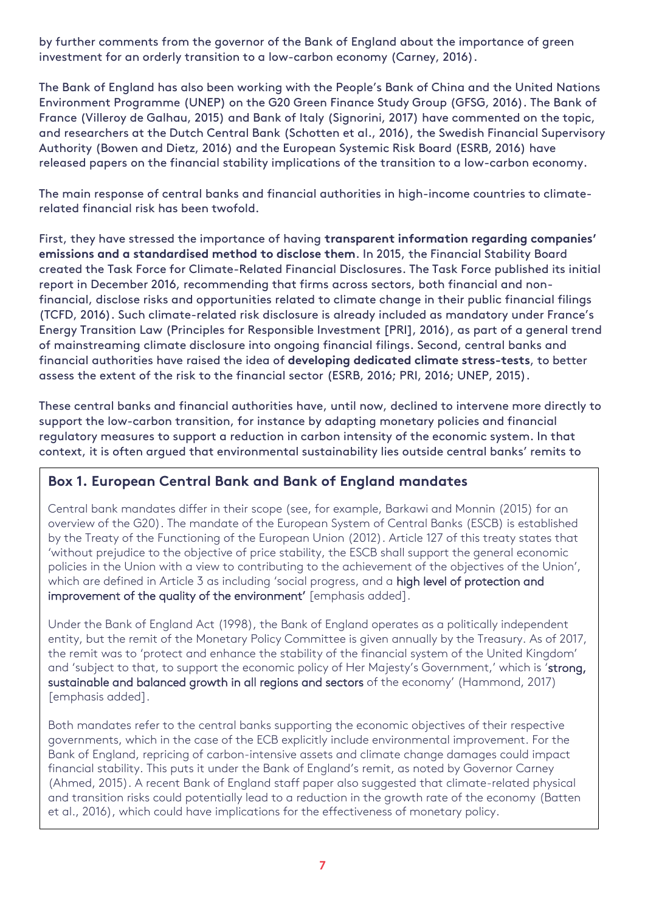by further comments from the governor of the Bank of England about the importance of green investment for an orderly transition to a low-carbon economy (Carney, 2016).

The Bank of England has also been working with the People's Bank of China and the United Nations Environment Programme (UNEP) on the G20 Green Finance Study Group (GFSG, 2016). The Bank of France (Villeroy de Galhau, 2015) and Bank of Italy (Signorini, 2017) have commented on the topic, and researchers at the Dutch Central Bank (Schotten et al., 2016), the Swedish Financial Supervisory Authority (Bowen and Dietz, 2016) and the European Systemic Risk Board (ESRB, 2016) have released papers on the financial stability implications of the transition to a low-carbon economy.

The main response of central banks and financial authorities in high-income countries to climaterelated financial risk has been twofold.

First, they have stressed the importance of having **transparent information regarding companies' emissions and a standardised method to disclose them**. In 2015, the Financial Stability Board created the Task Force for Climate-Related Financial Disclosures. The Task Force published its initial report in December 2016, recommending that firms across sectors, both financial and nonfinancial, disclose risks and opportunities related to climate change in their public financial filings (TCFD, 2016). Such climate-related risk disclosure is already included as mandatory under France's Energy Transition Law (Principles for Responsible Investment [PRI], 2016), as part of a general trend of mainstreaming climate disclosure into ongoing financial filings. Second, central banks and financial authorities have raised the idea of **developing dedicated climate stress-tests**, to better assess the extent of the risk to the financial sector (ESRB, 2016; PRI, 2016; UNEP, 2015).

These central banks and financial authorities have, until now, declined to intervene more directly to support the low-carbon transition, for instance by adapting monetary policies and financial regulatory measures to support a reduction in carbon intensity of the economic system. In that context, it is often argued that environmental sustainability lies outside central banks' remits to

#### **Box 1. European Central Bank and Bank of England mandates**

Central bank mandates differ in their scope (see, for example, Barkawi and Monnin (2015) for an overview of the G20). The mandate of the European System of Central Banks (ESCB) is established by the Treaty of the Functioning of the European Union (2012). Article 127 of this treaty states that 'without prejudice to the objective of price stability, the ESCB shall support the general economic policies in the Union with a view to contributing to the achievement of the objectives of the Union', which are defined in Article 3 as including 'social progress, and a high level of protection and improvement of the quality of the environment' [emphasis added].

Under the Bank of England Act (1998), the Bank of England operates as a politically independent entity, but the remit of the Monetary Policy Committee is given annually by the Treasury. As of 2017, the remit was to 'protect and enhance the stability of the financial system of the United Kingdom' and 'subject to that, to support the economic policy of Her Majesty's Government,' which is 'strong, sustainable and balanced growth in all regions and sectors of the economy' (Hammond, 2017) [emphasis added].

Both mandates refer to the central banks supporting the economic objectives of their respective governments, which in the case of the ECB explicitly include environmental improvement. For the Bank of England, repricing of carbon-intensive assets and climate change damages could impact financial stability. This puts it under the Bank of England's remit, as noted by Governor Carney (Ahmed, 2015). A recent Bank of England staff paper also suggested that climate-related physical and transition risks could potentially lead to a reduction in the growth rate of the economy (Batten et al., 2016), which could have implications for the effectiveness of monetary policy.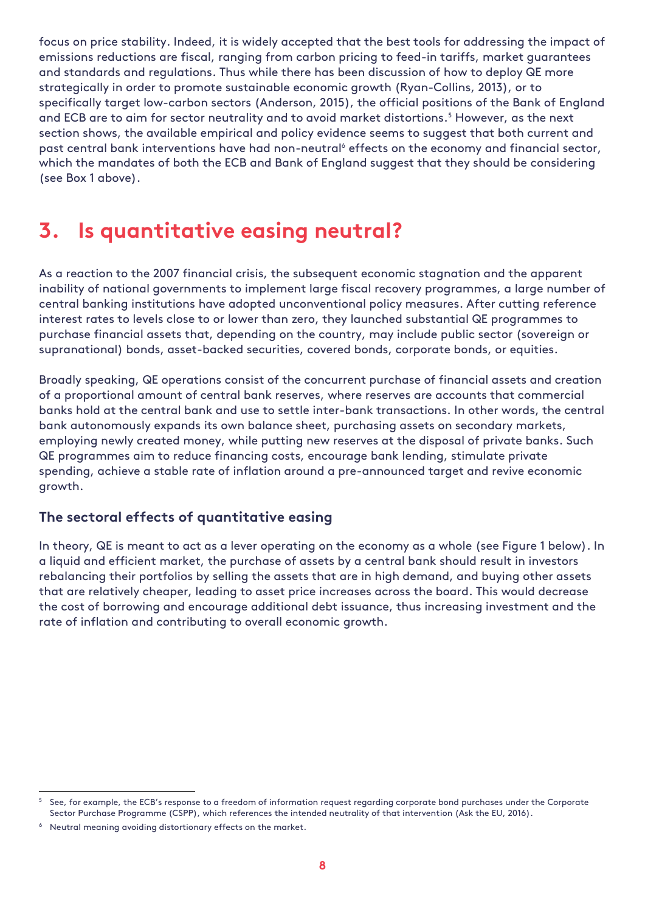focus on price stability. Indeed, it is widely accepted that the best tools for addressing the impact of emissions reductions are fiscal, ranging from carbon pricing to feed-in tariffs, market guarantees and standards and regulations. Thus while there has been discussion of how to deploy QE more strategically in order to promote sustainable economic growth (Ryan-Collins, 2013), or to specifically target low-carbon sectors (Anderson, 2015), the official positions of the Bank of England and ECB are to aim for sector neutrality and to avoid market distortions.<sup>5</sup> However, as the next section shows, the available empirical and policy evidence seems to suggest that both current and past central bank interventions have had non-neutral<sup>6</sup> effects on the economy and financial sector, which the mandates of both the ECB and Bank of England suggest that they should be considering (see Box 1 above).

## <span id="page-10-0"></span>**3. Is quantitative easing neutral?**

As a reaction to the 2007 financial crisis, the subsequent economic stagnation and the apparent inability of national governments to implement large fiscal recovery programmes, a large number of central banking institutions have adopted unconventional policy measures. After cutting reference interest rates to levels close to or lower than zero, they launched substantial QE programmes to purchase financial assets that, depending on the country, may include public sector (sovereign or supranational) bonds, asset-backed securities, covered bonds, corporate bonds, or equities.

Broadly speaking, QE operations consist of the concurrent purchase of financial assets and creation of a proportional amount of central bank reserves, where reserves are accounts that commercial banks hold at the central bank and use to settle inter-bank transactions. In other words, the central bank autonomously expands its own balance sheet, purchasing assets on secondary markets, employing newly created money, while putting new reserves at the disposal of private banks. Such QE programmes aim to reduce financing costs, encourage bank lending, stimulate private spending, achieve a stable rate of inflation around a pre-announced target and revive economic growth.

#### <span id="page-10-1"></span>**The sectoral effects of quantitative easing**

In theory, QE is meant to act as a lever operating on the economy as a whole (see Figure 1 below). In a liquid and efficient market, the purchase of assets by a central bank should result in investors rebalancing their portfolios by selling the assets that are in high demand, and buying other assets that are relatively cheaper, leading to asset price increases across the board. This would decrease the cost of borrowing and encourage additional debt issuance, thus increasing investment and the rate of inflation and contributing to overall economic growth.

-

<sup>5</sup> See, for example, the ECB's response to a freedom of information request regarding corporate bond purchases under the Corporate Sector Purchase Programme (CSPP), which references the intended neutrality of that intervention (Ask the EU, 2016).

<sup>6</sup> Neutral meaning avoiding distortionary effects on the market.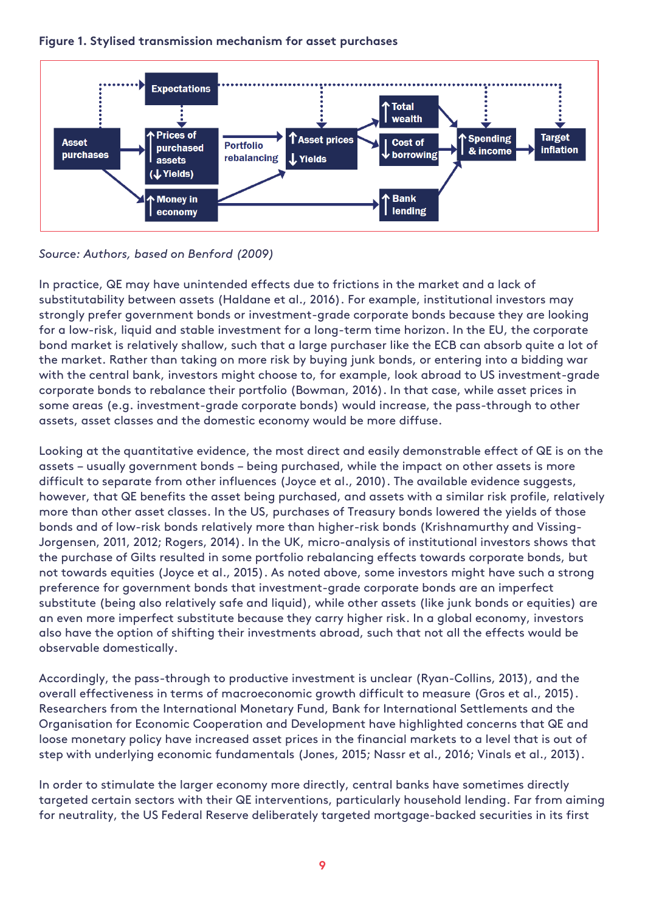

#### **Figure 1. Stylised transmission mechanism for asset purchases**

*Source: Authors, based on Benford (2009)* 

In practice, QE may have unintended effects due to frictions in the market and a lack of substitutability between assets (Haldane et al., 2016). For example, institutional investors may strongly prefer government bonds or investment-grade corporate bonds because they are looking for a low-risk, liquid and stable investment for a long-term time horizon. In the EU, the corporate bond market is relatively shallow, such that a large purchaser like the ECB can absorb quite a lot of the market. Rather than taking on more risk by buying junk bonds, or entering into a bidding war with the central bank, investors might choose to, for example, look abroad to US investment-grade corporate bonds to rebalance their portfolio (Bowman, 2016). In that case, while asset prices in some areas (e.g. investment-grade corporate bonds) would increase, the pass-through to other assets, asset classes and the domestic economy would be more diffuse.

Looking at the quantitative evidence, the most direct and easily demonstrable effect of QE is on the assets – usually government bonds – being purchased, while the impact on other assets is more difficult to separate from other influences (Joyce et al., 2010). The available evidence suggests, however, that QE benefits the asset being purchased, and assets with a similar risk profile, relatively more than other asset classes. In the US, purchases of Treasury bonds lowered the yields of those bonds and of low-risk bonds relatively more than higher-risk bonds (Krishnamurthy and Vissing-Jorgensen, 2011, 2012; Rogers, 2014). In the UK, micro-analysis of institutional investors shows that the purchase of Gilts resulted in some portfolio rebalancing effects towards corporate bonds, but not towards equities (Joyce et al., 2015). As noted above, some investors might have such a strong preference for government bonds that investment-grade corporate bonds are an imperfect substitute (being also relatively safe and liquid), while other assets (like junk bonds or equities) are an even more imperfect substitute because they carry higher risk. In a global economy, investors also have the option of shifting their investments abroad, such that not all the effects would be observable domestically.

Accordingly, the pass-through to productive investment is unclear (Ryan-Collins, 2013), and the overall effectiveness in terms of macroeconomic growth difficult to measure (Gros et al., 2015). Researchers from the International Monetary Fund, Bank for International Settlements and the Organisation for Economic Cooperation and Development have highlighted concerns that QE and loose monetary policy have increased asset prices in the financial markets to a level that is out of step with underlying economic fundamentals (Jones, 2015; Nassr et al., 2016; Vinals et al., 2013).

In order to stimulate the larger economy more directly, central banks have sometimes directly targeted certain sectors with their QE interventions, particularly household lending. Far from aiming for neutrality, the US Federal Reserve deliberately targeted mortgage-backed securities in its first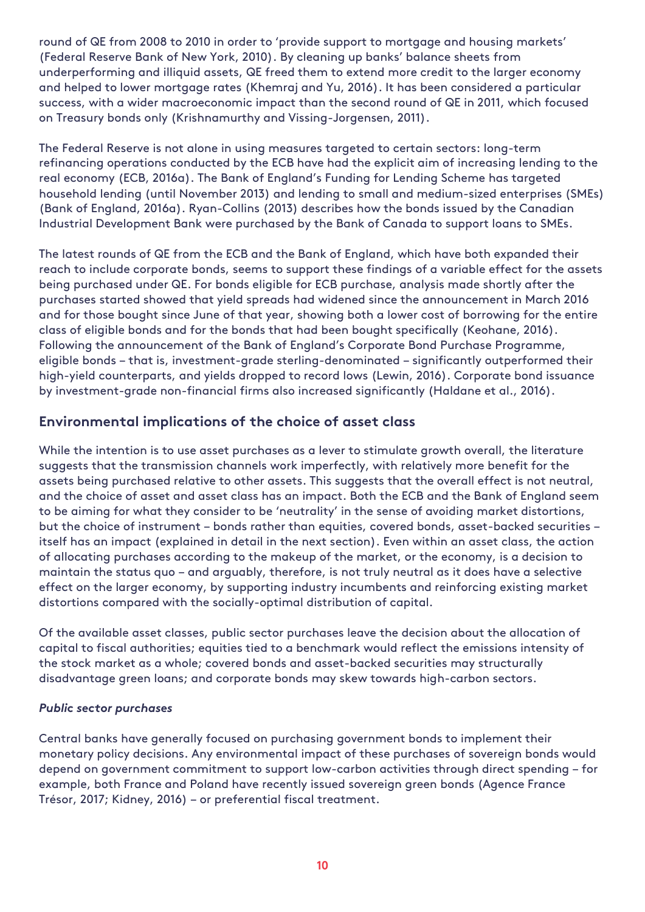round of QE from 2008 to 2010 in order to 'provide support to mortgage and housing markets' (Federal Reserve Bank of New York, 2010). By cleaning up banks' balance sheets from underperforming and illiquid assets, QE freed them to extend more credit to the larger economy and helped to lower mortgage rates (Khemraj and Yu, 2016). It has been considered a particular success, with a wider macroeconomic impact than the second round of QE in 2011, which focused on Treasury bonds only (Krishnamurthy and Vissing-Jorgensen, 2011).

The Federal Reserve is not alone in using measures targeted to certain sectors: long-term refinancing operations conducted by the ECB have had the explicit aim of increasing lending to the real economy (ECB, 2016a). The Bank of England's Funding for Lending Scheme has targeted household lending (until November 2013) and lending to small and medium-sized enterprises (SMEs) (Bank of England, 2016a). Ryan-Collins (2013) describes how the bonds issued by the Canadian Industrial Development Bank were purchased by the Bank of Canada to support loans to SMEs.

The latest rounds of QE from the ECB and the Bank of England, which have both expanded their reach to include corporate bonds, seems to support these findings of a variable effect for the assets being purchased under QE. For bonds eligible for ECB purchase, analysis made shortly after the purchases started showed that yield spreads had widened since the announcement in March 2016 and for those bought since June of that year, showing both a lower cost of borrowing for the entire class of eligible bonds and for the bonds that had been bought specifically (Keohane, 2016). Following the announcement of the Bank of England's Corporate Bond Purchase Programme, eligible bonds – that is, investment-grade sterling-denominated – significantly outperformed their high-yield counterparts, and yields dropped to record lows (Lewin, 2016). Corporate bond issuance by investment-grade non-financial firms also increased significantly (Haldane et al., 2016).

#### <span id="page-12-0"></span>**Environmental implications of the choice of asset class**

While the intention is to use asset purchases as a lever to stimulate growth overall, the literature suggests that the transmission channels work imperfectly, with relatively more benefit for the assets being purchased relative to other assets. This suggests that the overall effect is not neutral, and the choice of asset and asset class has an impact. Both the ECB and the Bank of England seem to be aiming for what they consider to be 'neutrality' in the sense of avoiding market distortions, but the choice of instrument – bonds rather than equities, covered bonds, asset-backed securities – itself has an impact (explained in detail in the next section). Even within an asset class, the action of allocating purchases according to the makeup of the market, or the economy, is a decision to maintain the status quo – and arguably, therefore, is not truly neutral as it does have a selective effect on the larger economy, by supporting industry incumbents and reinforcing existing market distortions compared with the socially-optimal distribution of capital.

Of the available asset classes, public sector purchases leave the decision about the allocation of capital to fiscal authorities; equities tied to a benchmark would reflect the emissions intensity of the stock market as a whole; covered bonds and asset-backed securities may structurally disadvantage green loans; and corporate bonds may skew towards high-carbon sectors.

#### *Public sector purchases*

Central banks have generally focused on purchasing government bonds to implement their monetary policy decisions. Any environmental impact of these purchases of sovereign bonds would depend on government commitment to support low-carbon activities through direct spending – for example, both France and Poland have recently issued sovereign green bonds (Agence France Trésor, 2017; Kidney, 2016) – or preferential fiscal treatment.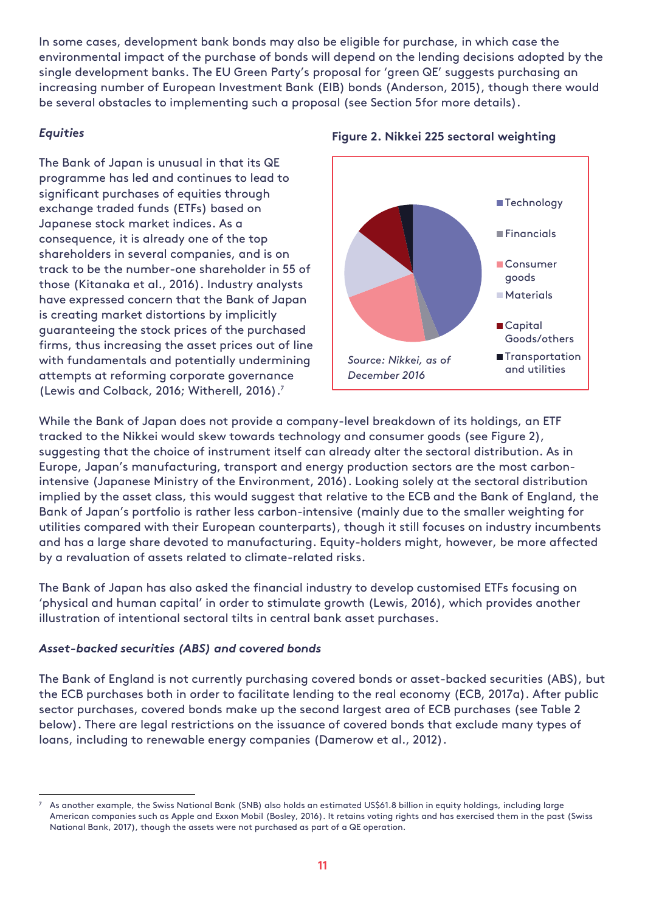In some cases, development bank bonds may also be eligible for purchase, in which case the environmental impact of the purchase of bonds will depend on the lending decisions adopted by the single development banks. The EU Green Party's proposal for 'green QE' suggests purchasing an increasing number of European Investment Bank (EIB) bonds (Anderson, 2015), though there would be several obstacles to implementing such a proposal (see Section 5for more details).

#### *Equities*

The Bank of Japan is unusual in that its QE programme has led and continues to lead to significant purchases of equities through exchange traded funds (ETFs) based on Japanese stock market indices. As a consequence, it is already one of the top shareholders in several companies, and is on track to be the number-one shareholder in 55 of those (Kitanaka et al., 2016). Industry analysts have expressed concern that the Bank of Japan is creating market distortions by implicitly guaranteeing the stock prices of the purchased firms, thus increasing the asset prices out of line with fundamentals and potentially undermining attempts at reforming corporate governance (Lewis and Colback, 2016; Witherell, 2016). 7



#### **Figure 2. Nikkei 225 sectoral weighting**

While the Bank of Japan does not provide a company-level breakdown of its holdings, an ETF tracked to the Nikkei would skew towards technology and consumer goods (see Figure 2), suggesting that the choice of instrument itself can already alter the sectoral distribution. As in Europe, Japan's manufacturing, transport and energy production sectors are the most carbonintensive (Japanese Ministry of the Environment, 2016). Looking solely at the sectoral distribution implied by the asset class, this would suggest that relative to the ECB and the Bank of England, the Bank of Japan's portfolio is rather less carbon-intensive (mainly due to the smaller weighting for utilities compared with their European counterparts), though it still focuses on industry incumbents and has a large share devoted to manufacturing. Equity-holders might, however, be more affected by a revaluation of assets related to climate-related risks.

The Bank of Japan has also asked the financial industry to develop customised ETFs focusing on 'physical and human capital' in order to stimulate growth (Lewis, 2016), which provides another illustration of intentional sectoral tilts in central bank asset purchases.

#### *Asset-backed securities (ABS) and covered bonds*

The Bank of England is not currently purchasing covered bonds or asset-backed securities (ABS), but the ECB purchases both in order to facilitate lending to the real economy (ECB, 2017a). After public sector purchases, covered bonds make up the second largest area of ECB purchases (see Table 2 below). There are legal restrictions on the issuance of covered bonds that exclude many types of loans, including to renewable energy companies (Damerow et al., 2012).

<sup>-</sup> $7$  As another example, the Swiss National Bank (SNB) also holds an estimated US\$61.8 billion in equity holdings, including large American companies such as Apple and Exxon Mobil (Bosley, 2016). It retains voting rights and has exercised them in the past (Swiss National Bank, 2017), though the assets were not purchased as part of a QE operation.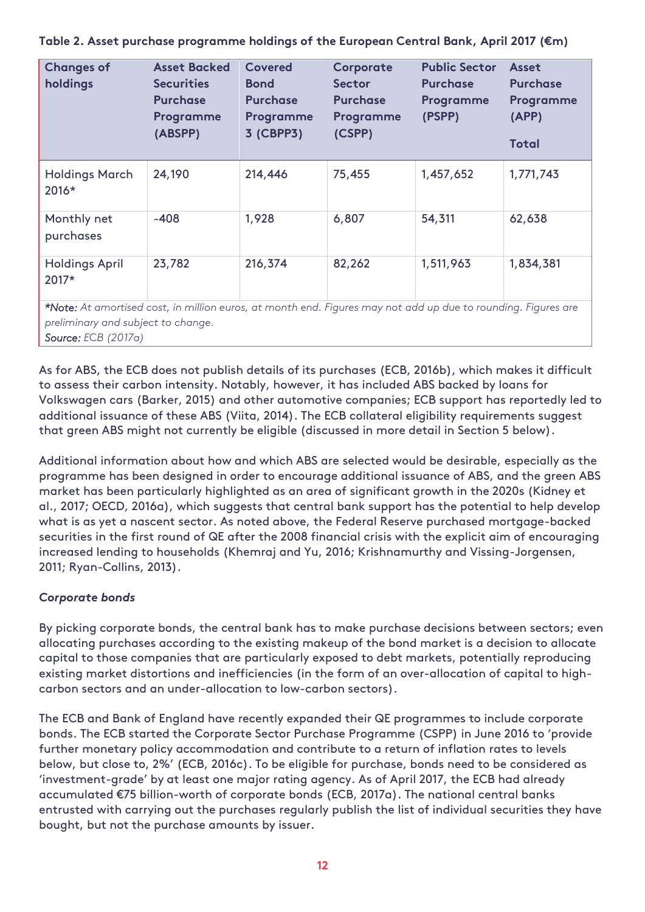| <b>Changes of</b><br>holdings  | <b>Asset Backed</b><br><b>Securities</b><br><b>Purchase</b><br>Programme<br>(ABSPP) | Covered<br><b>Bond</b><br><b>Purchase</b><br>Programme<br>3 (CBPP3) | Corporate<br><b>Sector</b><br><b>Purchase</b><br>Programme<br>(CSPP) | <b>Public Sector</b><br><b>Purchase</b><br>Programme<br>(PSPP) | Asset<br><b>Purchase</b><br>Programme<br>(APP)<br><b>Total</b> |
|--------------------------------|-------------------------------------------------------------------------------------|---------------------------------------------------------------------|----------------------------------------------------------------------|----------------------------------------------------------------|----------------------------------------------------------------|
| <b>Holdings March</b><br>2016* | 24,190                                                                              | 214,446                                                             | 75,455                                                               | 1,457,652                                                      | 1,771,743                                                      |
| Monthly net<br>purchases       | $-408$                                                                              | 1,928                                                               | 6,807                                                                | 54,311                                                         | 62,638                                                         |
| <b>Holdings April</b><br>2017* | 23,782                                                                              | 216,374                                                             | 82,262                                                               | 1,511,963                                                      | 1,834,381                                                      |

**Table 2. Asset purchase programme holdings of the European Central Bank, April 2017 (€m)**

*\*Note: At amortised cost, in million euros, at month end. Figures may not add up due to rounding. Figures are preliminary and subject to change. Source: E*C*B (2017a)*

As for ABS, the ECB does not publish details of its purchases (ECB, 2016b), which makes it difficult to assess their carbon intensity. Notably, however, it has included ABS backed by loans for Volkswagen cars (Barker, 2015) and other automotive companies; ECB support has reportedly led to additional issuance of these ABS (Viita, 2014). The ECB collateral eligibility requirements suggest that green ABS might not currently be eligible (discussed in more detail in Section 5 below).

Additional information about how and which ABS are selected would be desirable, especially as the programme has been designed in order to encourage additional issuance of ABS, and the green ABS market has been particularly highlighted as an area of significant growth in the 2020s (Kidney et al., 2017; OECD, 2016a), which suggests that central bank support has the potential to help develop what is as yet a nascent sector. As noted above, the Federal Reserve purchased mortgage-backed securities in the first round of QE after the 2008 financial crisis with the explicit aim of encouraging increased lending to households (Khemraj and Yu, 2016; Krishnamurthy and Vissing-Jorgensen, 2011; Ryan-Collins, 2013).

#### *Corporate bonds*

By picking corporate bonds, the central bank has to make purchase decisions between sectors; even allocating purchases according to the existing makeup of the bond market is a decision to allocate capital to those companies that are particularly exposed to debt markets, potentially reproducing existing market distortions and inefficiencies (in the form of an over-allocation of capital to highcarbon sectors and an under-allocation to low-carbon sectors).

The ECB and Bank of England have recently expanded their QE programmes to include corporate bonds. The ECB started the Corporate Sector Purchase Programme (CSPP) in June 2016 to 'provide further monetary policy accommodation and contribute to a return of inflation rates to levels below, but close to, 2%' (ECB, 2016c). To be eligible for purchase, bonds need to be considered as 'investment-grade' by at least one major rating agency. As of April 2017, the ECB had already accumulated €75 billion-worth of corporate bonds (ECB, 2017a). The national central banks entrusted with carrying out the purchases regularly publish the list of individual securities they have bought, but not the purchase amounts by issuer.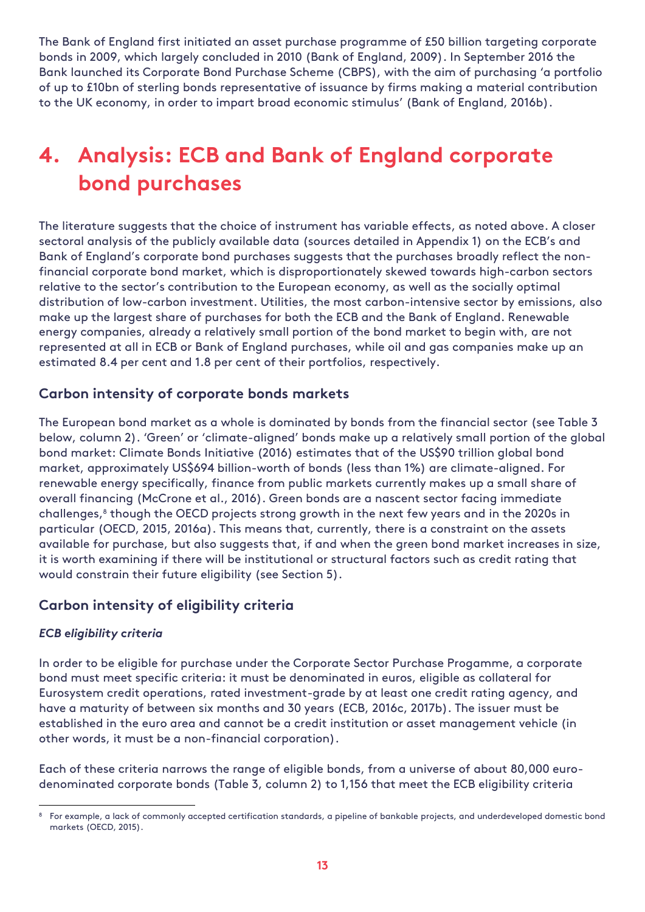The Bank of England first initiated an asset purchase programme of £50 billion targeting corporate bonds in 2009, which largely concluded in 2010 (Bank of England, 2009). In September 2016 the Bank launched its Corporate Bond Purchase Scheme (CBPS), with the aim of purchasing 'a portfolio of up to £10bn of sterling bonds representative of issuance by firms making a material contribution to the UK economy, in order to impart broad economic stimulus' (Bank of England, 2016b).

# <span id="page-15-0"></span>**4. Analysis: ECB and Bank of England corporate bond purchases**

The literature suggests that the choice of instrument has variable effects, as noted above. A closer sectoral analysis of the publicly available data (sources detailed in Appendix 1) on the ECB's and Bank of England's corporate bond purchases suggests that the purchases broadly reflect the nonfinancial corporate bond market, which is disproportionately skewed towards high-carbon sectors relative to the sector's contribution to the European economy, as well as the socially optimal distribution of low-carbon investment. Utilities, the most carbon-intensive sector by emissions, also make up the largest share of purchases for both the ECB and the Bank of England. Renewable energy companies, already a relatively small portion of the bond market to begin with, are not represented at all in ECB or Bank of England purchases, while oil and gas companies make up an estimated 8.4 per cent and 1.8 per cent of their portfolios, respectively.

#### <span id="page-15-1"></span>**Carbon intensity of corporate bonds markets**

The European bond market as a whole is dominated by bonds from the financial sector (see Table 3 below, column 2). 'Green' or 'climate-aligned' bonds make up a relatively small portion of the global bond market: Climate Bonds Initiative (2016) estimates that of the US\$90 trillion global bond market, approximately US\$694 billion-worth of bonds (less than 1%) are climate-aligned. For renewable energy specifically, finance from public markets currently makes up a small share of overall financing (McCrone et al., 2016). Green bonds are a nascent sector facing immediate challenges, 8 though the OECD projects strong growth in the next few years and in the 2020s in particular (OECD, 2015, 2016a). This means that, currently, there is a constraint on the assets available for purchase, but also suggests that, if and when the green bond market increases in size, it is worth examining if there will be institutional or structural factors such as credit rating that would constrain their future eligibility (see Section 5).

#### <span id="page-15-2"></span>**Carbon intensity of eligibility criteria**

#### *ECB eligibility criteria*

-

In order to be eligible for purchase under the Corporate Sector Purchase Progamme, a corporate bond must meet specific criteria: it must be denominated in euros, eligible as collateral for Eurosystem credit operations, rated investment-grade by at least one credit rating agency, and have a maturity of between six months and 30 years (ECB, 2016c, 2017b). The issuer must be established in the euro area and cannot be a credit institution or asset management vehicle (in other words, it must be a non-financial corporation).

Each of these criteria narrows the range of eligible bonds, from a universe of about 80,000 eurodenominated corporate bonds (Table 3, column 2) to 1,156 that meet the ECB eligibility criteria

<sup>8</sup> For example, a lack of commonly accepted certification standards, a pipeline of bankable projects, and underdeveloped domestic bond markets (OECD, 2015).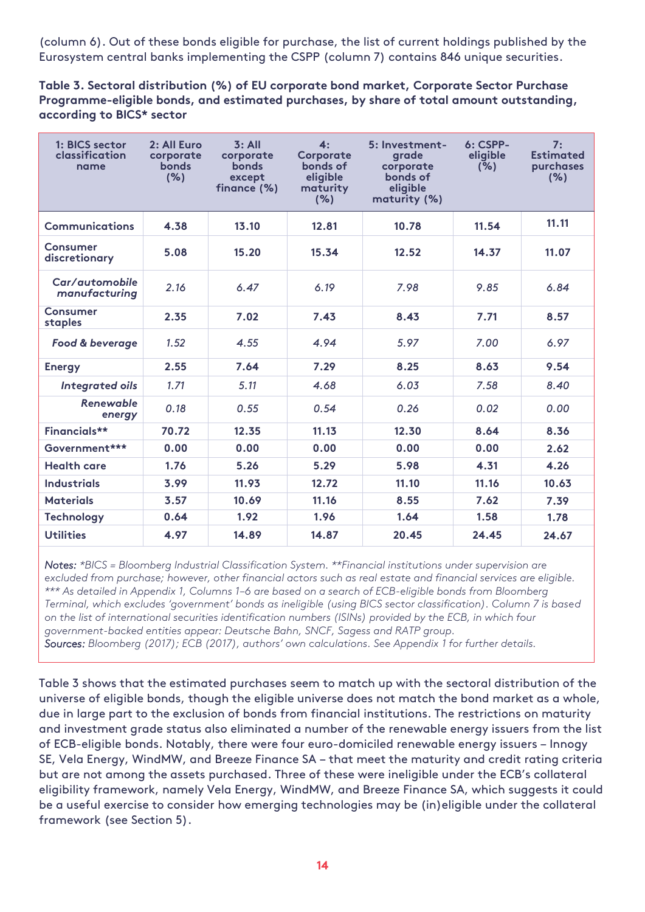(column 6). Out of these bonds eligible for purchase, the list of current holdings published by the Eurosystem central banks implementing the CSPP (column 7) contains 846 unique securities.

**Table 3. Sectoral distribution (%) of EU corporate bond market, Corporate Sector Purchase Programme-eligible bonds, and estimated purchases, by share of total amount outstanding, according to BICS\* sector**

| 1: BICS sector<br>classification<br>name | 2: All Euro<br>corporate<br><b>bonds</b><br>(% ) | 3: All<br>corporate<br><b>bonds</b><br>except<br>finance (%) | 4:<br>Corporate<br>bonds of<br>eligible<br>maturity<br>(%) | 5: Investment-<br>grade<br>corporate<br>bonds of<br>eligible<br>maturity (%) | $6: CSPP-$<br>eligible<br>(% ) | 7:<br><b>Estimated</b><br>purchases<br>(% ) |
|------------------------------------------|--------------------------------------------------|--------------------------------------------------------------|------------------------------------------------------------|------------------------------------------------------------------------------|--------------------------------|---------------------------------------------|
| <b>Communications</b>                    | 4.38                                             | 13.10                                                        | 12.81                                                      | 10.78                                                                        | 11.54                          | 11.11                                       |
| Consumer<br>discretionary                | 5.08                                             | 15.20                                                        | 15.34                                                      | 12.52                                                                        | 14.37                          | 11.07                                       |
| Car/automobile<br>manufacturing          | 2.16                                             | 6.47                                                         | 6.19                                                       | 7.98                                                                         | 9.85                           | 6.84                                        |
| Consumer<br>staples                      | 2.35                                             | 7.02                                                         | 7.43                                                       | 8.43                                                                         | 7.71                           | 8.57                                        |
| Food & beverage                          | 1.52                                             | 4.55                                                         | 4.94                                                       | 5.97                                                                         | 7.00                           | 6.97                                        |
| <b>Energy</b>                            | 2.55                                             | 7.64                                                         | 7.29                                                       | 8.25                                                                         | 8.63                           | 9.54                                        |
| <b>Integrated oils</b>                   | 1.71                                             | 5.11                                                         | 4.68                                                       | 6.03                                                                         | 7.58                           | 8.40                                        |
| <b>Renewable</b><br>energy               | 0.18                                             | 0.55                                                         | 0.54                                                       | 0.26                                                                         | 0.02                           | 0.00                                        |
| Financials**                             | 70.72                                            | 12.35                                                        | 11.13                                                      | 12.30                                                                        | 8.64                           | 8.36                                        |
| Government***                            | 0.00                                             | 0.00                                                         | 0.00                                                       | 0.00                                                                         | 0.00                           | 2.62                                        |
| <b>Health care</b>                       | 1.76                                             | 5.26                                                         | 5.29                                                       | 5.98                                                                         | 4.31                           | 4.26                                        |
| <b>Industrials</b>                       | 3.99                                             | 11.93                                                        | 12.72                                                      | 11.10                                                                        | 11.16                          | 10.63                                       |
| <b>Materials</b>                         | 3.57                                             | 10.69                                                        | 11.16                                                      | 8.55                                                                         | 7.62                           | 7.39                                        |
| <b>Technology</b>                        | 0.64                                             | 1.92                                                         | 1.96                                                       | 1.64                                                                         | 1.58                           | 1.78                                        |
| <b>Utilities</b>                         | 4.97                                             | 14.89                                                        | 14.87                                                      | 20.45                                                                        | 24.45                          | 24.67                                       |

*Notes: \*BICS = Bloomberg Industrial Classification System. \*\*Financial institutions under supervision are excluded from purchase; however, other financial actors such as real estate and financial services are eligible. \*\*\* As detailed in Appendix 1, Columns 1–6 are based on a search of ECB-eligible bonds from Bloomberg Terminal, which excludes 'government' bonds as ineligible (using BICS sector classification). Column 7 is based on the list of international securities identification numbers (ISINs) provided by the ECB, in which four government-backed entities appear: Deutsche Bahn, SNCF, Sagess and RATP group.* 

*Sources: Bloomberg (2017); ECB (2017), authors' own calculations. See Appendix 1 for further details.*

Table 3 shows that the estimated purchases seem to match up with the sectoral distribution of the universe of eligible bonds, though the eligible universe does not match the bond market as a whole, due in large part to the exclusion of bonds from financial institutions. The restrictions on maturity and investment grade status also eliminated a number of the renewable energy issuers from the list of ECB-eligible bonds. Notably, there were four euro-domiciled renewable energy issuers – Innogy SE, Vela Energy, WindMW, and Breeze Finance SA – that meet the maturity and credit rating criteria but are not among the assets purchased. Three of these were ineligible under the ECB's collateral eligibility framework, namely Vela Energy, WindMW, and Breeze Finance SA, which suggests it could be a useful exercise to consider how emerging technologies may be (in)eligible under the collateral framework (see Section 5).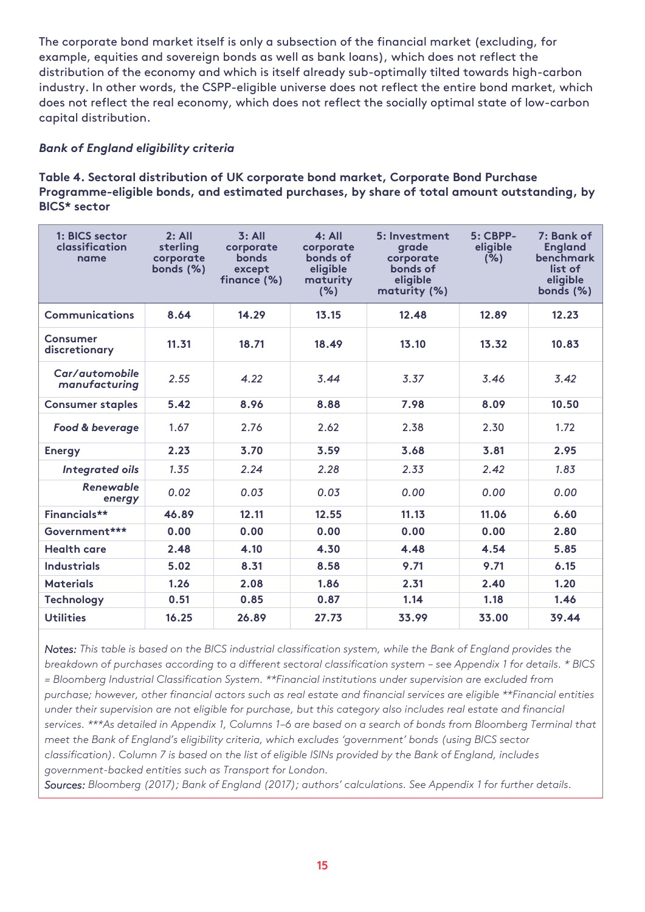The corporate bond market itself is only a subsection of the financial market (excluding, for example, equities and sovereign bonds as well as bank loans), which does not reflect the distribution of the economy and which is itself already sub-optimally tilted towards high-carbon industry. In other words, the CSPP-eligible universe does not reflect the entire bond market, which does not reflect the real economy, which does not reflect the socially optimal state of low-carbon capital distribution.

#### *Bank of England eligibility criteria*

**Table 4. Sectoral distribution of UK corporate bond market, Corporate Bond Purchase Programme-eligible bonds, and estimated purchases, by share of total amount outstanding, by BICS\* sector**

| 1: BICS sector<br>classification<br>name | 2: All<br>sterling<br>corporate<br>bonds (%) | 3: All<br>corporate<br>bonds<br>except<br>finance (%) | 4: All<br>corporate<br>bonds of<br>eligible<br>maturity<br>(%) | 5: Investment<br>grade<br>corporate<br>bonds of<br>eligible<br>maturity (%) | $5:$ CBPP-<br>eligible<br>(%) | 7: Bank of<br><b>England</b><br><b>benchmark</b><br>list of<br>eligible<br>bonds (%) |
|------------------------------------------|----------------------------------------------|-------------------------------------------------------|----------------------------------------------------------------|-----------------------------------------------------------------------------|-------------------------------|--------------------------------------------------------------------------------------|
| Communications                           | 8.64                                         | 14.29                                                 | 13.15                                                          | 12.48                                                                       | 12.89                         | 12.23                                                                                |
| Consumer<br>discretionary                | 11.31                                        | 18.71                                                 | 18.49                                                          | 13.10                                                                       | 13.32                         | 10.83                                                                                |
| Car/automobile<br>manufacturing          | 2.55                                         | 4.22                                                  | 3.44                                                           | 3.37                                                                        | 3.46                          | 3.42                                                                                 |
| <b>Consumer staples</b>                  | 5.42                                         | 8.96                                                  | 8.88                                                           | 7.98                                                                        | 8.09                          | 10.50                                                                                |
| Food & beverage                          | 1.67                                         | 2.76                                                  | 2.62                                                           | 2.38                                                                        | 2.30                          | 1.72                                                                                 |
| <b>Energy</b>                            | 2.23                                         | 3.70                                                  | 3.59                                                           | 3.68                                                                        | 3.81                          | 2.95                                                                                 |
| Integrated oils                          | 1.35                                         | 2.24                                                  | 2.28                                                           | 2.33                                                                        | 2.42                          | 1.83                                                                                 |
| <b>Renewable</b><br>energy               | 0.02                                         | 0.03                                                  | 0.03                                                           | 0.00                                                                        | 0.00                          | 0.00                                                                                 |
| Financials**                             | 46.89                                        | 12.11                                                 | 12.55                                                          | 11.13                                                                       | 11.06                         | 6.60                                                                                 |
| Government***                            | 0.00                                         | 0.00                                                  | 0.00                                                           | 0.00                                                                        | 0.00                          | 2.80                                                                                 |
| <b>Health care</b>                       | 2.48                                         | 4.10                                                  | 4.30                                                           | 4.48                                                                        | 4.54                          | 5.85                                                                                 |
| <b>Industrials</b>                       | 5.02                                         | 8.31                                                  | 8.58                                                           | 9.71                                                                        | 9.71                          | 6.15                                                                                 |
| <b>Materials</b>                         | 1.26                                         | 2.08                                                  | 1.86                                                           | 2.31                                                                        | 2.40                          | 1.20                                                                                 |
| <b>Technology</b>                        | 0.51                                         | 0.85                                                  | 0.87                                                           | 1.14                                                                        | 1.18                          | 1.46                                                                                 |
| <b>Utilities</b>                         | 16.25                                        | 26.89                                                 | 27.73                                                          | 33.99                                                                       | 33.00                         | 39.44                                                                                |

*Notes: This table is based on the BICS industrial classification system, while the Bank of England provides the breakdown of purchases according to a different sectoral classification system – see Appendix 1 for details. \* BICS = Bloomberg Industrial Classification System. \*\*Financial institutions under supervision are excluded from purchase; however, other financial actors such as real estate and financial services are eligible \*\*Financial entities under their supervision are not eligible for purchase, but this category also includes real estate and financial services. \*\*\*As detailed in Appendix 1, Columns 1–6 are based on a search of bonds from Bloomberg Terminal that meet the Bank of England's eligibility criteria, which excludes 'government' bonds (using BICS sector classification). Column 7 is based on the list of eligible ISINs provided by the Bank of England, includes government-backed entities such as Transport for London.* 

*Sources: Bloomberg (2017); Bank of England (2017); authors' calculations. See Appendix 1 for further details.*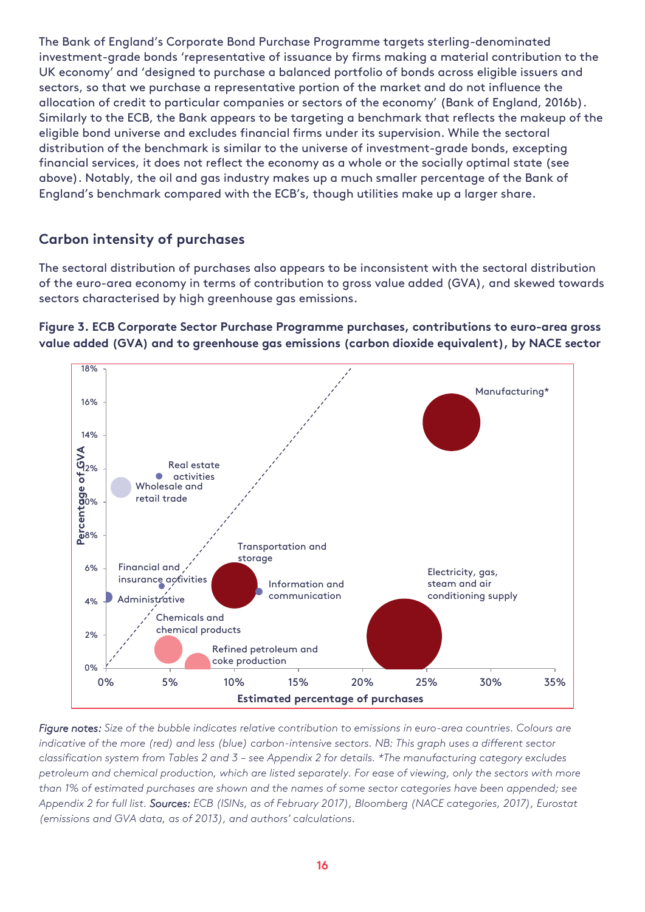<span id="page-18-0"></span>The Bank of England's Corporate Bond Purchase Programme targets sterling-denominated investment-grade bonds 'representative of issuance by firms making a material contribution to the UK economy' and 'designed to purchase a balanced portfolio of bonds across eligible issuers and sectors, so that we purchase a representative portion of the market and do not influence the allocation of credit to particular companies or sectors of the economy' (Bank of England, 2016b). Similarly to the ECB, the Bank appears to be targeting a benchmark that reflects the makeup of the eligible bond universe and excludes financial firms under its supervision. While the sectoral distribution of the benchmark is similar to the universe of investment-grade bonds, excepting financial services, it does not reflect the economy as a whole or the socially optimal state (see above). Notably, the oil and gas industry makes up a much smaller percentage of the Bank of England's benchmark compared with the ECB's, though utilities make up a larger share.

#### **Carbon intensity of purchases**

The sectoral distribution of purchases also appears to be inconsistent with the sectoral distribution of the euro-area economy in terms of contribution to gross value added (GVA), and skewed towards sectors characterised by high greenhouse gas emissions.

**Figure 3. ECB Corporate Sector Purchase Programme purchases, contributions to euro-area gross value added (GVA) and to greenhouse gas emissions (carbon dioxide equivalent), by NACE sector**



*Figure notes: Size of the bubble indicates relative contribution to emissions in euro-area countries. Colours are indicative of the more (red) and less (blue) carbon-intensive sectors. NB: This graph uses a different sector classification system from Tables 2 and 3 – see Appendix 2 for details. \*The manufacturing category excludes petroleum and chemical production, which are listed separately. For ease of viewing, only the sectors with more than 1% of estimated purchases are shown and the names of some sector categories have been appended; see Appendix 2 for full list. Sources: ECB (ISINs, as of February 2017), Bloomberg (NACE categories, 2017), Eurostat (emissions and GVA data, as of 2013), and authors' calculations.*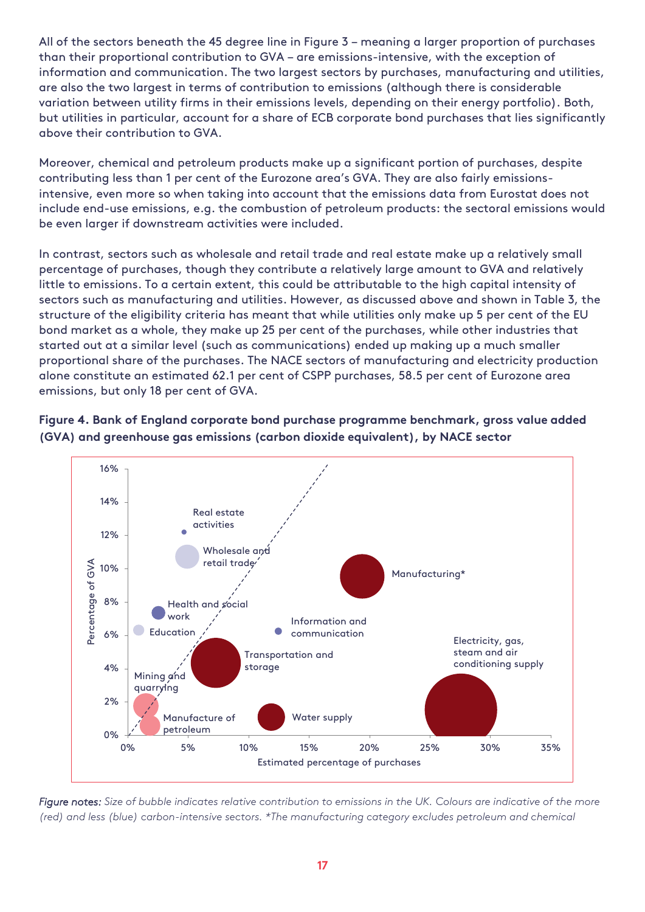All of the sectors beneath the 45 degree line in Figure 3 – meaning a larger proportion of purchases than their proportional contribution to GVA – are emissions-intensive, with the exception of information and communication. The two largest sectors by purchases, manufacturing and utilities, are also the two largest in terms of contribution to emissions (although there is considerable variation between utility firms in their emissions levels, depending on their energy portfolio). Both, but utilities in particular, account for a share of ECB corporate bond purchases that lies significantly above their contribution to GVA.

Moreover, chemical and petroleum products make up a significant portion of purchases, despite contributing less than 1 per cent of the Eurozone area's GVA. They are also fairly emissionsintensive, even more so when taking into account that the emissions data from Eurostat does not include end-use emissions, e.g. the combustion of petroleum products: the sectoral emissions would be even larger if downstream activities were included.

In contrast, sectors such as wholesale and retail trade and real estate make up a relatively small percentage of purchases, though they contribute a relatively large amount to GVA and relatively little to emissions. To a certain extent, this could be attributable to the high capital intensity of sectors such as manufacturing and utilities. However, as discussed above and shown in Table 3, the structure of the eligibility criteria has meant that while utilities only make up 5 per cent of the EU bond market as a whole, they make up 25 per cent of the purchases, while other industries that started out at a similar level (such as communications) ended up making up a much smaller proportional share of the purchases. The NACE sectors of manufacturing and electricity production alone constitute an estimated 62.1 per cent of CSPP purchases, 58.5 per cent of Eurozone area emissions, but only 18 per cent of GVA.





*Figure notes: Size of bubble indicates relative contribution to emissions in the UK. Colours are indicative of the more (red) and less (blue) carbon-intensive sectors. \*The manufacturing category excludes petroleum and chemical*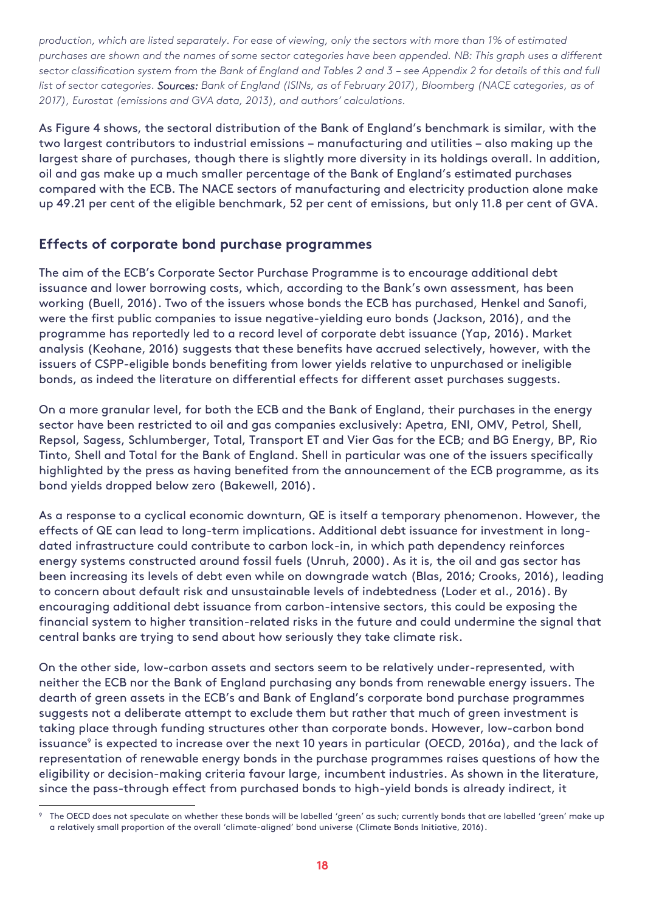*production, which are listed separately. For ease of viewing, only the sectors with more than 1% of estimated purchases are shown and the names of some sector categories have been appended. NB: This graph uses a different sector classification system from the Bank of England and Tables 2 and 3 – see Appendix 2 for details of this and full list of sector categories. Sources: Bank of England (ISINs, as of February 2017), Bloomberg (NACE categories, as of 2017), Eurostat (emissions and GVA data, 2013), and authors' calculations.* 

As Figure 4 shows, the sectoral distribution of the Bank of England's benchmark is similar, with the two largest contributors to industrial emissions – manufacturing and utilities – also making up the largest share of purchases, though there is slightly more diversity in its holdings overall. In addition, oil and gas make up a much smaller percentage of the Bank of England's estimated purchases compared with the ECB. The NACE sectors of manufacturing and electricity production alone make up 49.21 per cent of the eligible benchmark, 52 per cent of emissions, but only 11.8 per cent of GVA.

#### <span id="page-20-0"></span>**Effects of corporate bond purchase programmes**

-

The aim of the ECB's Corporate Sector Purchase Programme is to encourage additional debt issuance and lower borrowing costs, which, according to the Bank's own assessment, has been working (Buell, 2016). Two of the issuers whose bonds the ECB has purchased, Henkel and Sanofi, were the first public companies to issue negative-yielding euro bonds (Jackson, 2016), and the programme has reportedly led to a record level of corporate debt issuance (Yap, 2016). Market analysis (Keohane, 2016) suggests that these benefits have accrued selectively, however, with the issuers of CSPP-eligible bonds benefiting from lower yields relative to unpurchased or ineligible bonds, as indeed the literature on differential effects for different asset purchases suggests.

On a more granular level, for both the ECB and the Bank of England, their purchases in the energy sector have been restricted to oil and gas companies exclusively: Apetra, ENI, OMV, Petrol, Shell, Repsol, Sagess, Schlumberger, Total, Transport ET and Vier Gas for the ECB; and BG Energy, BP, Rio Tinto, Shell and Total for the Bank of England. Shell in particular was one of the issuers specifically highlighted by the press as having benefited from the announcement of the ECB programme, as its bond yields dropped below zero (Bakewell, 2016).

As a response to a cyclical economic downturn, QE is itself a temporary phenomenon. However, the effects of QE can lead to long-term implications. Additional debt issuance for investment in longdated infrastructure could contribute to carbon lock-in, in which path dependency reinforces energy systems constructed around fossil fuels (Unruh, 2000). As it is, the oil and gas sector has been increasing its levels of debt even while on downgrade watch (Blas, 2016; Crooks, 2016), leading to concern about default risk and unsustainable levels of indebtedness (Loder et al., 2016). By encouraging additional debt issuance from carbon-intensive sectors, this could be exposing the financial system to higher transition-related risks in the future and could undermine the signal that central banks are trying to send about how seriously they take climate risk.

On the other side, low-carbon assets and sectors seem to be relatively under-represented, with neither the ECB nor the Bank of England purchasing any bonds from renewable energy issuers. The dearth of green assets in the ECB's and Bank of England's corporate bond purchase programmes suggests not a deliberate attempt to exclude them but rather that much of green investment is taking place through funding structures other than corporate bonds. However, low-carbon bond issuance<sup>,</sup> is expected to increase over the next 10 years in particular (OECD, 2016a), and the lack of representation of renewable energy bonds in the purchase programmes raises questions of how the eligibility or decision-making criteria favour large, incumbent industries. As shown in the literature, since the pass-through effect from purchased bonds to high-yield bonds is already indirect, it

The OECD does not speculate on whether these bonds will be labelled 'green' as such; currently bonds that are labelled 'green' make up a relatively small proportion of the overall 'climate-aligned' bond universe (Climate Bonds Initiative, 2016).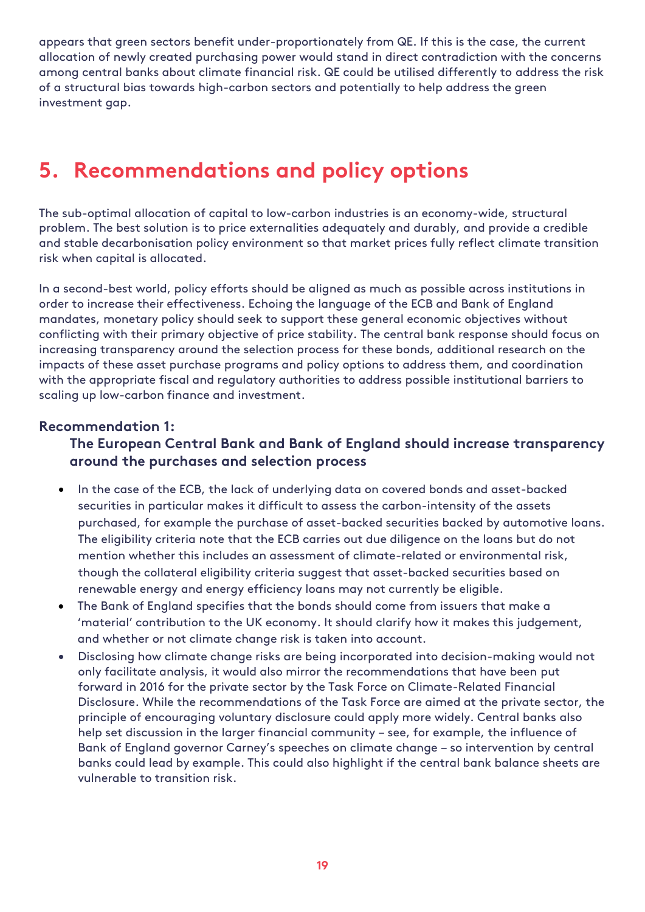appears that green sectors benefit under-proportionately from QE. If this is the case, the current allocation of newly created purchasing power would stand in direct contradiction with the concerns among central banks about climate financial risk. QE could be utilised differently to address the risk of a structural bias towards high-carbon sectors and potentially to help address the green investment gap.

### <span id="page-21-0"></span>**5. Recommendations and policy options**

The sub-optimal allocation of capital to low-carbon industries is an economy-wide, structural problem. The best solution is to price externalities adequately and durably, and provide a credible and stable decarbonisation policy environment so that market prices fully reflect climate transition risk when capital is allocated.

In a second-best world, policy efforts should be aligned as much as possible across institutions in order to increase their effectiveness. Echoing the language of the ECB and Bank of England mandates, monetary policy should seek to support these general economic objectives without conflicting with their primary objective of price stability. The central bank response should focus on increasing transparency around the selection process for these bonds, additional research on the impacts of these asset purchase programs and policy options to address them, and coordination with the appropriate fiscal and regulatory authorities to address possible institutional barriers to scaling up low-carbon finance and investment.

#### <span id="page-21-1"></span>**Recommendation 1:**

#### **The European Central Bank and Bank of England should increase transparency around the purchases and selection process**

- In the case of the ECB, the lack of underlying data on covered bonds and asset-backed securities in particular makes it difficult to assess the carbon-intensity of the assets purchased, for example the purchase of asset-backed securities backed by automotive loans. The eligibility criteria note that the ECB carries out due diligence on the loans but do not mention whether this includes an assessment of climate-related or environmental risk, though the collateral eligibility criteria suggest that asset-backed securities based on renewable energy and energy efficiency loans may not currently be eligible.
- The Bank of England specifies that the bonds should come from issuers that make a 'material' contribution to the UK economy. It should clarify how it makes this judgement, and whether or not climate change risk is taken into account.
- Disclosing how climate change risks are being incorporated into decision-making would not only facilitate analysis, it would also mirror the recommendations that have been put forward in 2016 for the private sector by the Task Force on Climate-Related Financial Disclosure. While the recommendations of the Task Force are aimed at the private sector, the principle of encouraging voluntary disclosure could apply more widely. Central banks also help set discussion in the larger financial community – see, for example, the influence of Bank of England governor Carney's speeches on climate change – so intervention by central banks could lead by example. This could also highlight if the central bank balance sheets are vulnerable to transition risk.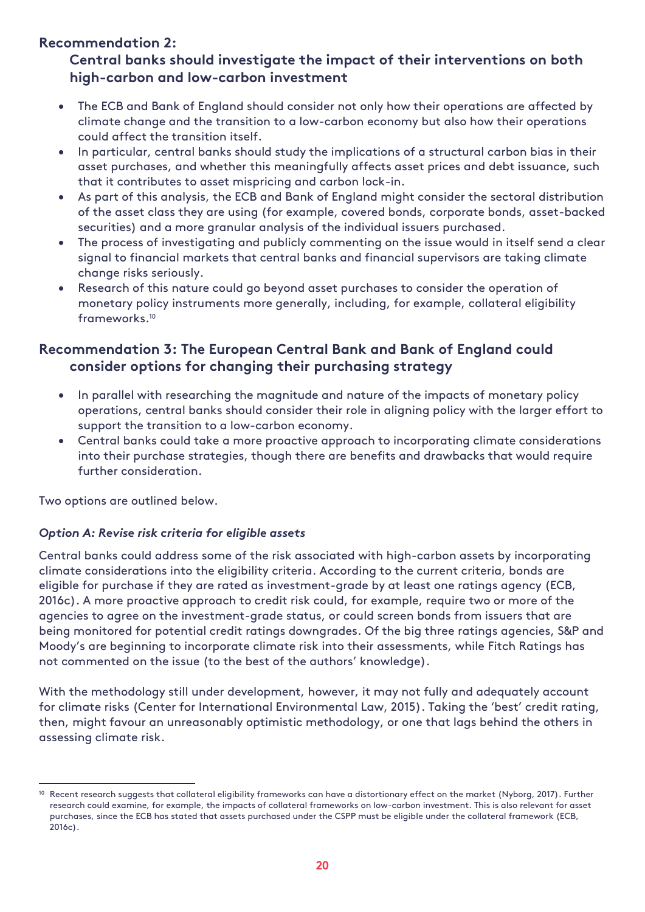#### <span id="page-22-0"></span>**Recommendation 2:**

#### **Central banks should investigate the impact of their interventions on both high-carbon and low-carbon investment**

- The ECB and Bank of England should consider not only how their operations are affected by climate change and the transition to a low-carbon economy but also how their operations could affect the transition itself.
- In particular, central banks should study the implications of a structural carbon bias in their asset purchases, and whether this meaningfully affects asset prices and debt issuance, such that it contributes to asset mispricing and carbon lock-in.
- As part of this analysis, the ECB and Bank of England might consider the sectoral distribution of the asset class they are using (for example, covered bonds, corporate bonds, asset-backed securities) and a more granular analysis of the individual issuers purchased.
- The process of investigating and publicly commenting on the issue would in itself send a clear signal to financial markets that central banks and financial supervisors are taking climate change risks seriously.
- Research of this nature could go beyond asset purchases to consider the operation of monetary policy instruments more generally, including, for example, collateral eligibility frameworks.<sup>10</sup>

#### <span id="page-22-1"></span>**Recommendation 3: The European Central Bank and Bank of England could consider options for changing their purchasing strategy**

- In parallel with researching the magnitude and nature of the impacts of monetary policy operations, central banks should consider their role in aligning policy with the larger effort to support the transition to a low-carbon economy.
- Central banks could take a more proactive approach to incorporating climate considerations into their purchase strategies, though there are benefits and drawbacks that would require further consideration.

Two options are outlined below.

 $\overline{a}$ 

#### *Option A: Revise risk criteria for eligible assets*

Central banks could address some of the risk associated with high-carbon assets by incorporating climate considerations into the eligibility criteria. According to the current criteria, bonds are eligible for purchase if they are rated as investment-grade by at least one ratings agency (ECB, 2016c). A more proactive approach to credit risk could, for example, require two or more of the agencies to agree on the investment-grade status, or could screen bonds from issuers that are being monitored for potential credit ratings downgrades. Of the big three ratings agencies, S&P and Moody's are beginning to incorporate climate risk into their assessments, while Fitch Ratings has not commented on the issue (to the best of the authors' knowledge).

With the methodology still under development, however, it may not fully and adequately account for climate risks (Center for International Environmental Law, 2015). Taking the 'best' credit rating, then, might favour an unreasonably optimistic methodology, or one that lags behind the others in assessing climate risk.

<sup>&</sup>lt;sup>10</sup> Recent research suggests that collateral eligibility frameworks can have a distortionary effect on the market (Nyborg, 2017). Further research could examine, for example, the impacts of collateral frameworks on low-carbon investment. This is also relevant for asset purchases, since the ECB has stated that assets purchased under the CSPP must be eligible under the collateral framework (ECB, 2016c).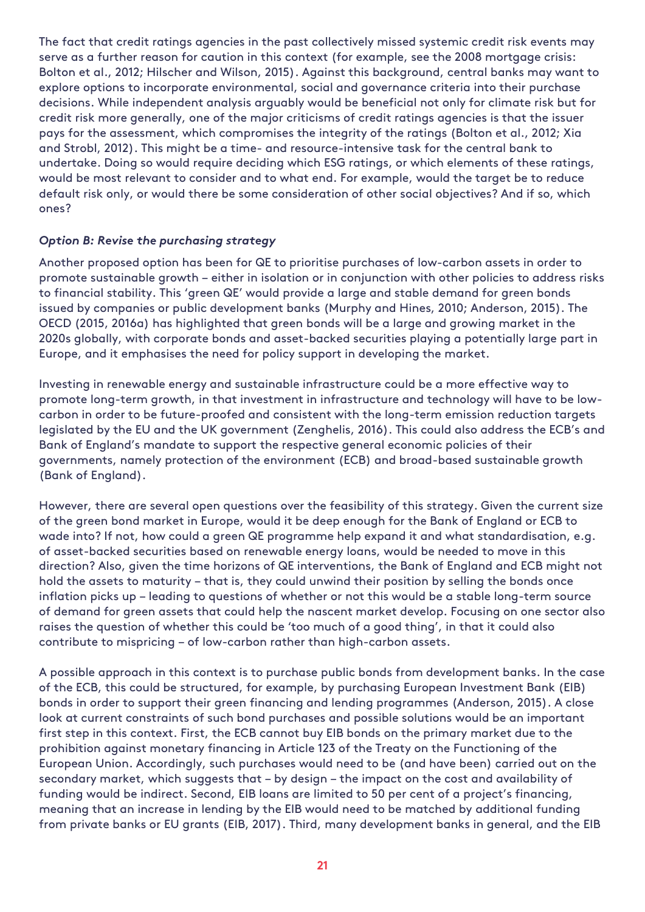The fact that credit ratings agencies in the past collectively missed systemic credit risk events may serve as a further reason for caution in this context (for example, see the 2008 mortgage crisis: Bolton et al., 2012; Hilscher and Wilson, 2015). Against this background, central banks may want to explore options to incorporate environmental, social and governance criteria into their purchase decisions. While independent analysis arguably would be beneficial not only for climate risk but for credit risk more generally, one of the major criticisms of credit ratings agencies is that the issuer pays for the assessment, which compromises the integrity of the ratings (Bolton et al., 2012; Xia and Strobl, 2012). This might be a time- and resource-intensive task for the central bank to undertake. Doing so would require deciding which ESG ratings, or which elements of these ratings, would be most relevant to consider and to what end. For example, would the target be to reduce default risk only, or would there be some consideration of other social objectives? And if so, which ones?

#### *Option B: Revise the purchasing strategy*

Another proposed option has been for QE to prioritise purchases of low-carbon assets in order to promote sustainable growth – either in isolation or in conjunction with other policies to address risks to financial stability. This 'green QE' would provide a large and stable demand for green bonds issued by companies or public development banks (Murphy and Hines, 2010; Anderson, 2015). The OECD (2015, 2016a) has highlighted that green bonds will be a large and growing market in the 2020s globally, with corporate bonds and asset-backed securities playing a potentially large part in Europe, and it emphasises the need for policy support in developing the market.

Investing in renewable energy and sustainable infrastructure could be a more effective way to promote long-term growth, in that investment in infrastructure and technology will have to be lowcarbon in order to be future-proofed and consistent with the long-term emission reduction targets legislated by the EU and the UK government (Zenghelis, 2016). This could also address the ECB's and Bank of England's mandate to support the respective general economic policies of their governments, namely protection of the environment (ECB) and broad-based sustainable growth (Bank of England).

However, there are several open questions over the feasibility of this strategy. Given the current size of the green bond market in Europe, would it be deep enough for the Bank of England or ECB to wade into? If not, how could a green QE programme help expand it and what standardisation, e.g. of asset-backed securities based on renewable energy loans, would be needed to move in this direction? Also, given the time horizons of QE interventions, the Bank of England and ECB might not hold the assets to maturity – that is, they could unwind their position by selling the bonds once inflation picks up – leading to questions of whether or not this would be a stable long-term source of demand for green assets that could help the nascent market develop. Focusing on one sector also raises the question of whether this could be 'too much of a good thing', in that it could also contribute to mispricing – of low-carbon rather than high-carbon assets.

A possible approach in this context is to purchase public bonds from development banks. In the case of the ECB, this could be structured, for example, by purchasing European Investment Bank (EIB) bonds in order to support their green financing and lending programmes (Anderson, 2015). A close look at current constraints of such bond purchases and possible solutions would be an important first step in this context. First, the ECB cannot buy EIB bonds on the primary market due to the prohibition against monetary financing in Article 123 of the Treaty on the Functioning of the European Union. Accordingly, such purchases would need to be (and have been) carried out on the secondary market, which suggests that – by design – the impact on the cost and availability of funding would be indirect. Second, EIB loans are limited to 50 per cent of a project's financing, meaning that an increase in lending by the EIB would need to be matched by additional funding from private banks or EU grants (EIB, 2017). Third, many development banks in general, and the EIB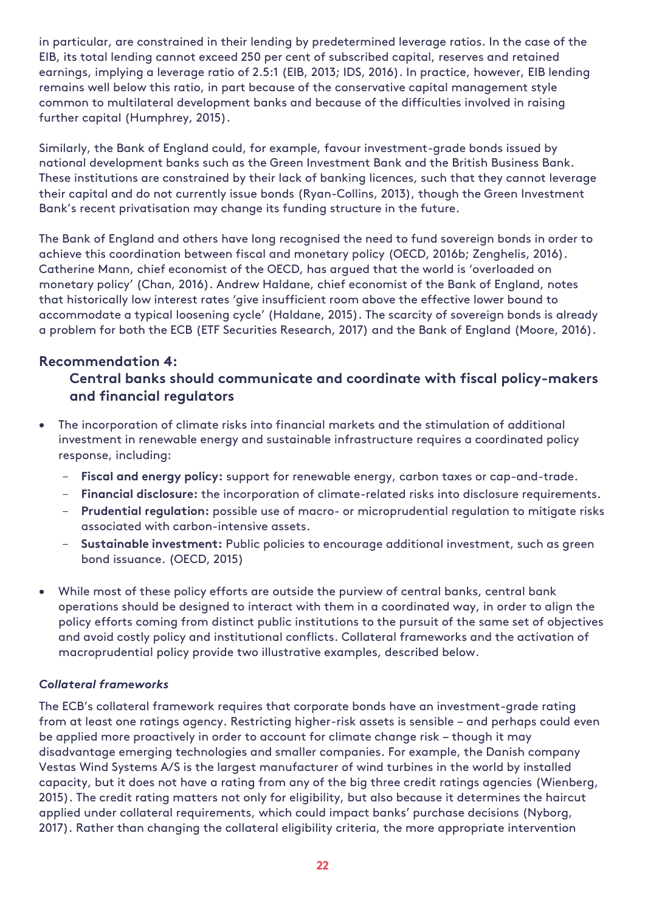in particular, are constrained in their lending by predetermined leverage ratios. In the case of the EIB, its total lending cannot exceed 250 per cent of subscribed capital, reserves and retained earnings, implying a leverage ratio of 2.5:1 (EIB, 2013; IDS, 2016). In practice, however, EIB lending remains well below this ratio, in part because of the conservative capital management style common to multilateral development banks and because of the difficulties involved in raising further capital (Humphrey, 2015).

Similarly, the Bank of England could, for example, favour investment-grade bonds issued by national development banks such as the Green Investment Bank and the British Business Bank. These institutions are constrained by their lack of banking licences, such that they cannot leverage their capital and do not currently issue bonds (Ryan-Collins, 2013), though the Green Investment Bank's recent privatisation may change its funding structure in the future.

The Bank of England and others have long recognised the need to fund sovereign bonds in order to achieve this coordination between fiscal and monetary policy (OECD, 2016b; Zenghelis, 2016). Catherine Mann, chief economist of the OECD, has argued that the world is 'overloaded on monetary policy' (Chan, 2016). Andrew Haldane, chief economist of the Bank of England, notes that historically low interest rates 'give insufficient room above the effective lower bound to accommodate a typical loosening cycle' (Haldane, 2015). The scarcity of sovereign bonds is already a problem for both the ECB (ETF Securities Research, 2017) and the Bank of England (Moore, 2016).

#### **Recommendation 4:**

#### **Central banks should communicate and coordinate with fiscal policy-makers and financial regulators**

- The incorporation of climate risks into financial markets and the stimulation of additional investment in renewable energy and sustainable infrastructure requires a coordinated policy response, including:
	- **Fiscal and energy policy:** support for renewable energy, carbon taxes or cap-and-trade.
	- **Financial disclosure:** the incorporation of climate-related risks into disclosure requirements.
	- **Prudential regulation:** possible use of macro- or microprudential regulation to mitigate risks associated with carbon-intensive assets.
	- **Sustainable investment:** Public policies to encourage additional investment, such as green bond issuance. (OECD, 2015)
- While most of these policy efforts are outside the purview of central banks, central bank operations should be designed to interact with them in a coordinated way, in order to align the policy efforts coming from distinct public institutions to the pursuit of the same set of objectives and avoid costly policy and institutional conflicts. Collateral frameworks and the activation of macroprudential policy provide two illustrative examples, described below.

#### *Collateral frameworks*

The ECB's collateral framework requires that corporate bonds have an investment-grade rating from at least one ratings agency. Restricting higher-risk assets is sensible – and perhaps could even be applied more proactively in order to account for climate change risk – though it may disadvantage emerging technologies and smaller companies. For example, the Danish company Vestas Wind Systems A/S is the largest manufacturer of wind turbines in the world by installed capacity, but it does not have a rating from any of the big three credit ratings agencies (Wienberg, 2015). The credit rating matters not only for eligibility, but also because it determines the haircut applied under collateral requirements, which could impact banks' purchase decisions (Nyborg, 2017). Rather than changing the collateral eligibility criteria, the more appropriate intervention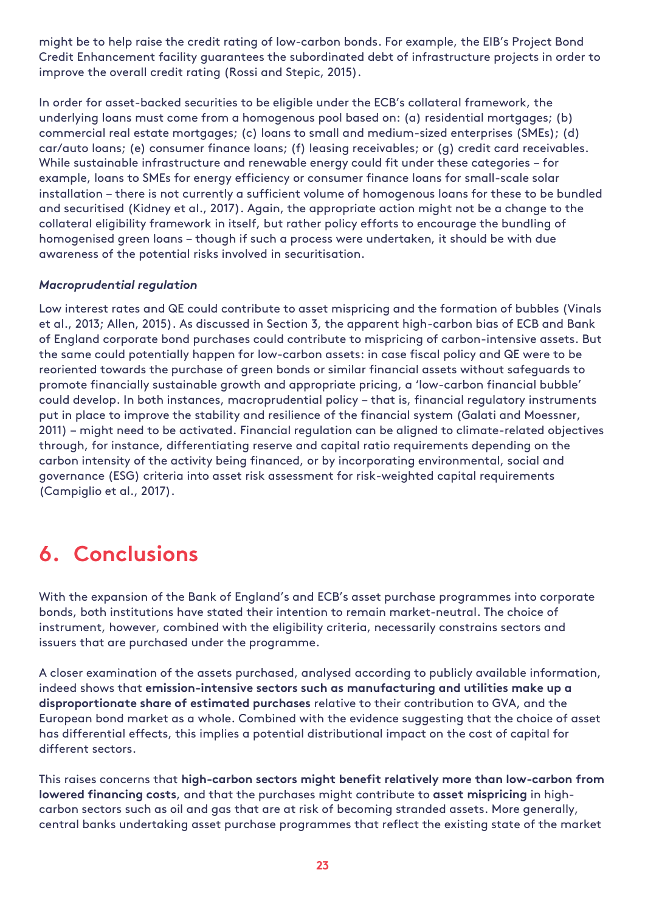might be to help raise the credit rating of low-carbon bonds. For example, the EIB's Project Bond Credit Enhancement facility guarantees the subordinated debt of infrastructure projects in order to improve the overall credit rating (Rossi and Stepic, 2015).

In order for asset-backed securities to be eligible under the ECB's collateral framework, the underlying loans must come from a homogenous pool based on: (a) residential mortgages; (b) commercial real estate mortgages; (c) loans to small and medium-sized enterprises (SMEs); (d) car/auto loans; (e) consumer finance loans; (f) leasing receivables; or (g) credit card receivables. While sustainable infrastructure and renewable energy could fit under these categories – for example, loans to SMEs for energy efficiency or consumer finance loans for small-scale solar installation – there is not currently a sufficient volume of homogenous loans for these to be bundled and securitised (Kidney et al., 2017). Again, the appropriate action might not be a change to the collateral eligibility framework in itself, but rather policy efforts to encourage the bundling of homogenised green loans – though if such a process were undertaken, it should be with due awareness of the potential risks involved in securitisation.

#### *Macroprudential regulation*

Low interest rates and QE could contribute to asset mispricing and the formation of bubbles (Vinals et al., 2013; Allen, 2015). As discussed in Section 3, the apparent high-carbon bias of ECB and Bank of England corporate bond purchases could contribute to mispricing of carbon-intensive assets. But the same could potentially happen for low-carbon assets: in case fiscal policy and QE were to be reoriented towards the purchase of green bonds or similar financial assets without safeguards to promote financially sustainable growth and appropriate pricing, a 'low-carbon financial bubble' could develop. In both instances, macroprudential policy – that is, financial regulatory instruments put in place to improve the stability and resilience of the financial system (Galati and Moessner, 2011) – might need to be activated. Financial regulation can be aligned to climate-related objectives through, for instance, differentiating reserve and capital ratio requirements depending on the carbon intensity of the activity being financed, or by incorporating environmental, social and governance (ESG) criteria into asset risk assessment for risk-weighted capital requirements (Campiglio et al., 2017).

## <span id="page-25-0"></span>**6. Conclusions**

With the expansion of the Bank of England's and ECB's asset purchase programmes into corporate bonds, both institutions have stated their intention to remain market-neutral. The choice of instrument, however, combined with the eligibility criteria, necessarily constrains sectors and issuers that are purchased under the programme.

A closer examination of the assets purchased, analysed according to publicly available information, indeed shows that **emission-intensive sectors such as manufacturing and utilities make up a disproportionate share of estimated purchases** relative to their contribution to GVA, and the European bond market as a whole. Combined with the evidence suggesting that the choice of asset has differential effects, this implies a potential distributional impact on the cost of capital for different sectors.

This raises concerns that **high-carbon sectors might benefit relatively more than low-carbon from lowered financing costs**, and that the purchases might contribute to **asset mispricing** in highcarbon sectors such as oil and gas that are at risk of becoming stranded assets. More generally, central banks undertaking asset purchase programmes that reflect the existing state of the market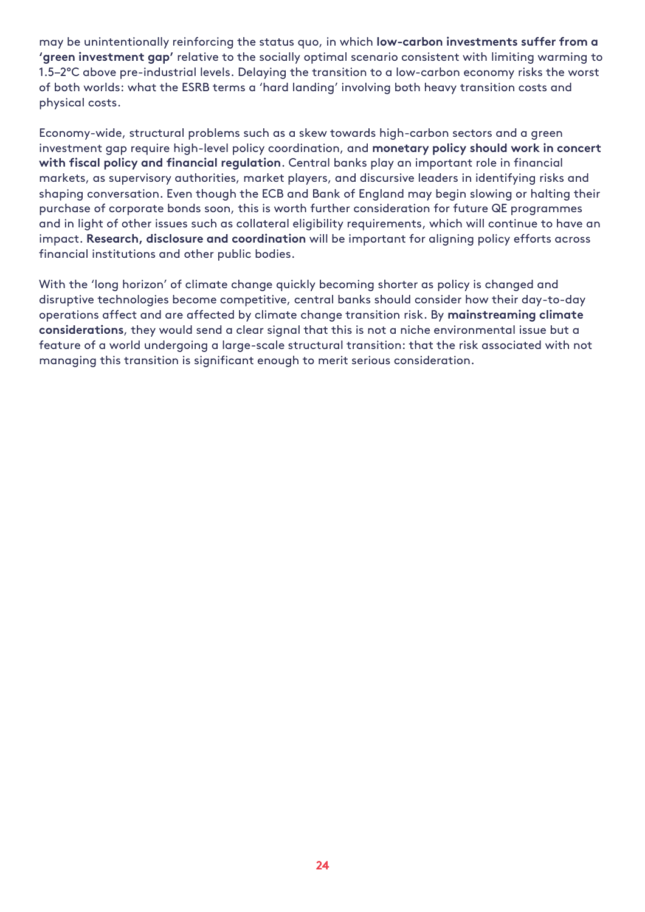may be unintentionally reinforcing the status quo, in which **low-carbon investments suffer from a 'green investment gap'** relative to the socially optimal scenario consistent with limiting warming to 1.5–2°C above pre-industrial levels. Delaying the transition to a low-carbon economy risks the worst of both worlds: what the ESRB terms a 'hard landing' involving both heavy transition costs and physical costs.

Economy-wide, structural problems such as a skew towards high-carbon sectors and a green investment gap require high-level policy coordination, and **monetary policy should work in concert with fiscal policy and financial regulation**. Central banks play an important role in financial markets, as supervisory authorities, market players, and discursive leaders in identifying risks and shaping conversation. Even though the ECB and Bank of England may begin slowing or halting their purchase of corporate bonds soon, this is worth further consideration for future QE programmes and in light of other issues such as collateral eligibility requirements, which will continue to have an impact. **Research, disclosure and coordination** will be important for aligning policy efforts across financial institutions and other public bodies.

With the 'long horizon' of climate change quickly becoming shorter as policy is changed and disruptive technologies become competitive, central banks should consider how their day-to-day operations affect and are affected by climate change transition risk. By **mainstreaming climate considerations**, they would send a clear signal that this is not a niche environmental issue but a feature of a world undergoing a large-scale structural transition: that the risk associated with not managing this transition is significant enough to merit serious consideration.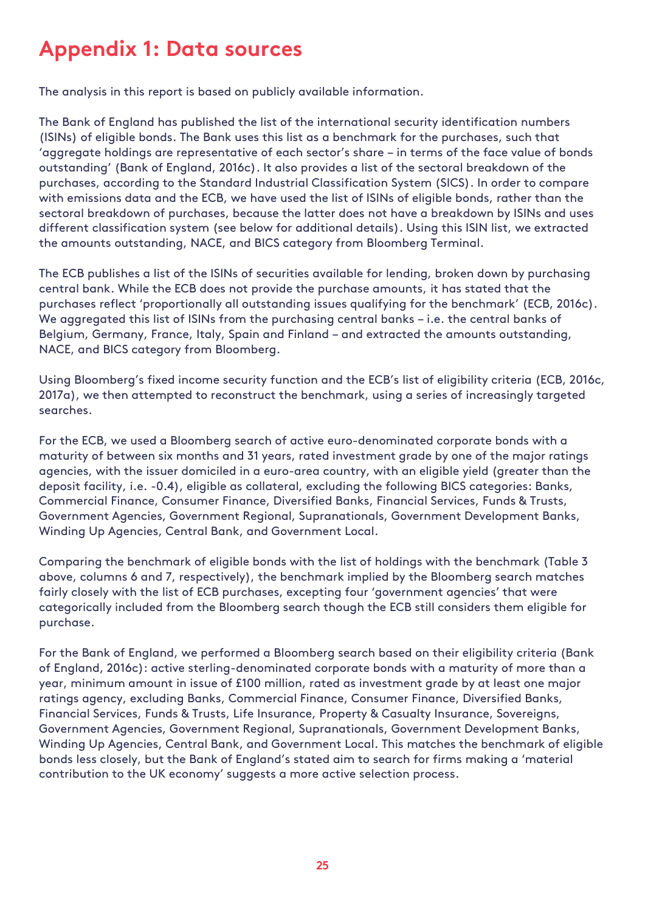### <span id="page-27-0"></span>**Appendix 1: Data sources**

The analysis in this report is based on publicly available information.

The Bank of England has published the list of the international security identification numbers (ISINs) of eligible bonds. The Bank uses this list as a benchmark for the purchases, such that 'aggregate holdings are representative of each sector's share – in terms of the face value of bonds outstanding' (Bank of England, 2016c). It also provides a list of the sectoral breakdown of the purchases, according to the Standard Industrial Classification System (SICS). In order to compare with emissions data and the ECB, we have used the list of ISINs of eligible bonds, rather than the sectoral breakdown of purchases, because the latter does not have a breakdown by ISINs and uses different classification system (see below for additional details). Using this ISIN list, we extracted the amounts outstanding, NACE, and BICS category from Bloomberg Terminal.

The ECB publishes a list of the ISINs of securities available for lending, broken down by purchasing central bank. While the ECB does not provide the purchase amounts, it has stated that the purchases reflect 'proportionally all outstanding issues qualifying for the benchmark' (ECB, 2016c). We aggregated this list of ISINs from the purchasing central banks – i.e. the central banks of Belgium, Germany, France, Italy, Spain and Finland – and extracted the amounts outstanding, NACE, and BICS category from Bloomberg.

Using Bloomberg's fixed income security function and the ECB's list of eligibility criteria (ECB, 2016c, 2017a), we then attempted to reconstruct the benchmark, using a series of increasingly targeted searches.

For the ECB, we used a Bloomberg search of active euro-denominated corporate bonds with a maturity of between six months and 31 years, rated investment grade by one of the major ratings agencies, with the issuer domiciled in a euro-area country, with an eligible yield (greater than the deposit facility, i.e. -0.4), eligible as collateral, excluding the following BICS categories: Banks, Commercial Finance, Consumer Finance, Diversified Banks, Financial Services, Funds & Trusts, Government Agencies, Government Regional, Supranationals, Government Development Banks, Winding Up Agencies, Central Bank, and Government Local.

Comparing the benchmark of eligible bonds with the list of holdings with the benchmark (Table 3 above, columns 6 and 7, respectively), the benchmark implied by the Bloomberg search matches fairly closely with the list of ECB purchases, excepting four 'government agencies' that were categorically included from the Bloomberg search though the ECB still considers them eligible for purchase.

For the Bank of England, we performed a Bloomberg search based on their eligibility criteria (Bank of England, 2016c): active sterling-denominated corporate bonds with a maturity of more than a year, minimum amount in issue of £100 million, rated as investment grade by at least one major ratings agency, excluding Banks, Commercial Finance, Consumer Finance, Diversified Banks, Financial Services, Funds & Trusts, Life Insurance, Property & Casualty Insurance, Sovereigns, Government Agencies, Government Regional, Supranationals, Government Development Banks, Winding Up Agencies, Central Bank, and Government Local. This matches the benchmark of eligible bonds less closely, but the Bank of England's stated aim to search for firms making a 'material contribution to the UK economy' suggests a more active selection process.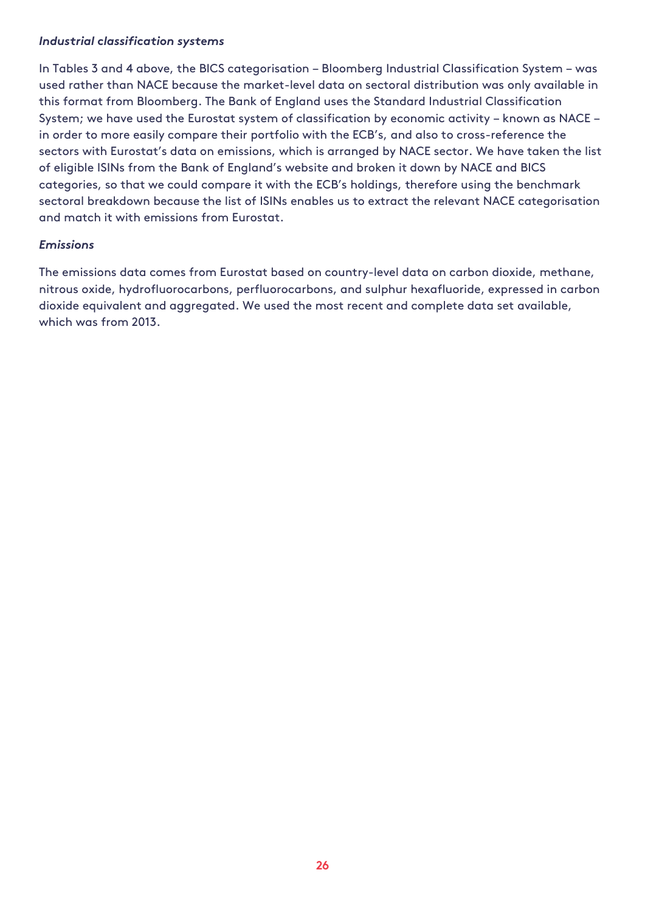#### *Industrial classification systems*

In Tables 3 and 4 above, the BICS categorisation – Bloomberg Industrial Classification System – was used rather than NACE because the market-level data on sectoral distribution was only available in this format from Bloomberg. The Bank of England uses the Standard Industrial Classification System; we have used the Eurostat system of classification by economic activity – known as NACE – in order to more easily compare their portfolio with the ECB's, and also to cross-reference the sectors with Eurostat's data on emissions, which is arranged by NACE sector. We have taken the list of eligible ISINs from the Bank of England's website and broken it down by NACE and BICS categories, so that we could compare it with the ECB's holdings, therefore using the benchmark sectoral breakdown because the list of ISINs enables us to extract the relevant NACE categorisation and match it with emissions from Eurostat.

#### *Emissions*

The emissions data comes from Eurostat based on country-level data on carbon dioxide, methane, nitrous oxide, hydrofluorocarbons, perfluorocarbons, and sulphur hexafluoride, expressed in carbon dioxide equivalent and aggregated. We used the most recent and complete data set available, which was from 2013.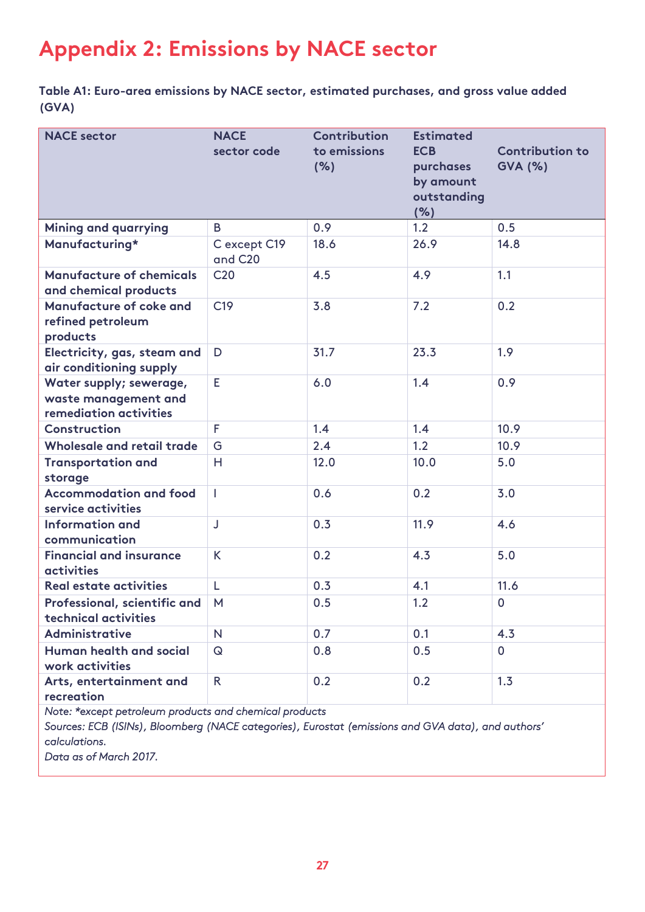## <span id="page-29-0"></span>**Appendix 2: Emissions by NACE sector**

**Table A1: Euro-area emissions by NACE sector, estimated purchases, and gross value added (GVA)**

| <b>NACE</b> sector                                                        | <b>NACE</b><br>sector code | Contribution<br>to emissions<br>(% ) | <b>Estimated</b><br><b>ECB</b><br>purchases<br>by amount<br>outstanding<br>(% ) | <b>Contribution to</b><br><b>GVA (%)</b> |
|---------------------------------------------------------------------------|----------------------------|--------------------------------------|---------------------------------------------------------------------------------|------------------------------------------|
| <b>Mining and quarrying</b>                                               | B                          | 0.9                                  | 1.2                                                                             | 0.5                                      |
| Manufacturing*                                                            | C except C19<br>and C20    | 18.6                                 | 26.9                                                                            | 14.8                                     |
| <b>Manufacture of chemicals</b><br>and chemical products                  | C <sub>20</sub>            | 4.5                                  | 4.9                                                                             | 1.1                                      |
| Manufacture of coke and<br>refined petroleum<br>products                  | C <sub>19</sub>            | 3.8                                  | 7.2                                                                             | 0.2                                      |
| Electricity, gas, steam and<br>air conditioning supply                    | D                          | 31.7                                 | 23.3                                                                            | 1.9                                      |
| Water supply; sewerage,<br>waste management and<br>remediation activities | E                          | 6.0                                  | 1.4                                                                             | 0.9                                      |
| Construction                                                              | F                          | 1.4                                  | 1.4                                                                             | 10.9                                     |
| Wholesale and retail trade                                                | G                          | 2.4                                  | 1.2                                                                             | 10.9                                     |
| <b>Transportation and</b><br>storage                                      | H                          | 12.0                                 | 10.0                                                                            | 5.0                                      |
| <b>Accommodation and food</b><br>service activities                       | T                          | 0.6                                  | 0.2                                                                             | 3.0                                      |
| <b>Information and</b><br>communication                                   | J                          | 0.3                                  | 11.9                                                                            | 4.6                                      |
| <b>Financial and insurance</b><br><b>activities</b>                       | K                          | 0.2                                  | 4.3                                                                             | 5.0                                      |
| Real estate activities                                                    | L                          | 0.3                                  | 4.1                                                                             | 11.6                                     |
| Professional, scientific and<br>technical activities                      | M                          | 0.5                                  | 1.2                                                                             | $\mathbf 0$                              |
| Administrative                                                            | N                          | 0.7                                  | 0.1                                                                             | 4.3                                      |
| Human health and social<br>work activities                                | $\mathsf Q$                | 0.8                                  | 0.5                                                                             | $\overline{0}$                           |
| Arts, entertainment and<br>recreation                                     | $\mathsf{R}$               | 0.2                                  | 0.2                                                                             | 1.3                                      |

*Note: \*except petroleum products and chemical products* 

*Sources: ECB (ISINs), Bloomberg (NACE categories), Eurostat (emissions and GVA data), and authors' calculations.* 

*Data as of March 2017.*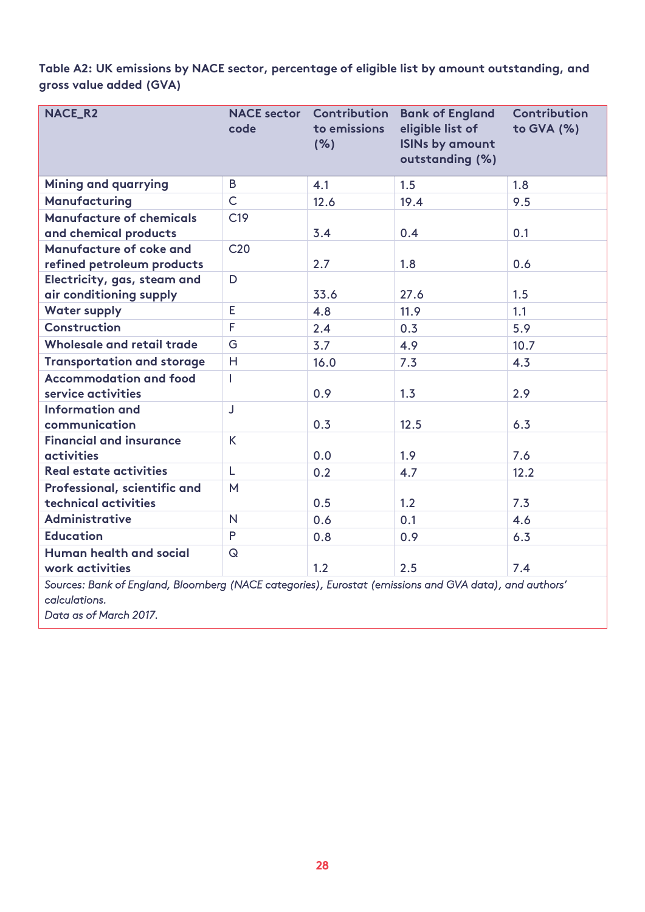**Table A2: UK emissions by NACE sector, percentage of eligible list by amount outstanding, and gross value added (GVA)**

| <b>NACE_R2</b>                                                                                                          | code            | <b>NACE sector Contribution</b><br>to emissions<br>(% ) | <b>Bank of England</b><br>eligible list of<br><b>ISINs by amount</b><br>outstanding (%) | Contribution<br>to GVA (%) |  |  |
|-------------------------------------------------------------------------------------------------------------------------|-----------------|---------------------------------------------------------|-----------------------------------------------------------------------------------------|----------------------------|--|--|
| <b>Mining and quarrying</b>                                                                                             | B               | 4.1                                                     | 1.5                                                                                     | 1.8                        |  |  |
| Manufacturing                                                                                                           | $\overline{C}$  | 12.6                                                    | 19.4                                                                                    | 9.5                        |  |  |
| <b>Manufacture of chemicals</b><br>and chemical products                                                                | C <sub>19</sub> | 3.4                                                     | 0.4                                                                                     | 0.1                        |  |  |
| Manufacture of coke and<br>refined petroleum products                                                                   | C <sub>20</sub> | 2.7                                                     | 1.8                                                                                     | 0.6                        |  |  |
| Electricity, gas, steam and<br>air conditioning supply                                                                  | D               | 33.6                                                    | 27.6                                                                                    | 1.5                        |  |  |
| <b>Water supply</b>                                                                                                     | E               | 4.8                                                     | 11.9                                                                                    | 1.1                        |  |  |
| <b>Construction</b>                                                                                                     | F               | 2.4                                                     | 0.3                                                                                     | 5.9                        |  |  |
| Wholesale and retail trade                                                                                              | G               | 3.7                                                     | 4.9                                                                                     | 10.7                       |  |  |
| <b>Transportation and storage</b>                                                                                       | H               | 16.0                                                    | 7.3                                                                                     | 4.3                        |  |  |
| <b>Accommodation and food</b><br>service activities                                                                     | L               | 0.9                                                     | 1.3                                                                                     | 2.9                        |  |  |
| Information and<br>communication                                                                                        | J               | 0.3                                                     | 12.5                                                                                    | 6.3                        |  |  |
| <b>Financial and insurance</b><br><b>activities</b>                                                                     | K.              | 0.0                                                     | 1.9                                                                                     | 7.6                        |  |  |
| <b>Real estate activities</b>                                                                                           | L               | 0.2                                                     | 4.7                                                                                     | 12.2                       |  |  |
| Professional, scientific and<br>technical activities                                                                    | M               | 0.5                                                     | 1.2                                                                                     | 7.3                        |  |  |
| Administrative                                                                                                          | N               | 0.6                                                     | 0.1                                                                                     | 4.6                        |  |  |
| <b>Education</b>                                                                                                        | P               | 0.8                                                     | 0.9                                                                                     | 6.3                        |  |  |
| Human health and social<br>work activities                                                                              | $\Omega$        | 1.2                                                     | 2.5                                                                                     | 7.4                        |  |  |
| Sources: Bank of England, Bloomberg (NACE categories), Eurostat (emissions and GVA data), and authors'<br>calculations. |                 |                                                         |                                                                                         |                            |  |  |

*Data as of March 2017.*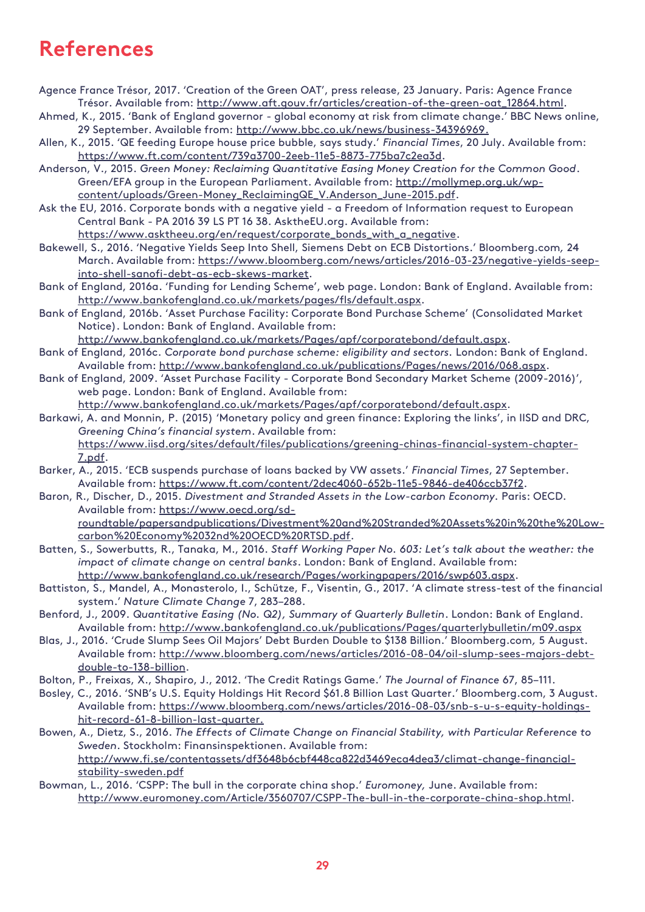### <span id="page-31-0"></span>**References**

- Agence France Trésor, 2017. 'Creation of the Green OAT', press release, 23 January. Paris: Agence France Trésor. Available from: [http://www.aft.gouv.fr/articles/creation-of-the-green-oat\\_12864.html.](http://www.aft.gouv.fr/articles/creation-of-the-green-oat_12864.html)
- Ahmed, K., 2015. 'Bank of England governor global economy at risk from climate change.' BBC News online, 29 September. Available from: [http://www.bbc.co.uk/news/business-34396969.](http://www.bbc.co.uk/news/business-34396969)
- Allen, K., 2015. 'QE feeding Europe house price bubble, says study.' *Financial Times*, 20 July. Available from: [https://www.ft.com/content/739a3700-2eeb-11e5-8873-775ba7c2ea3d.](https://www.ft.com/content/739a3700-2eeb-11e5-8873-775ba7c2ea3d)
- Anderson, V., 2015. *Green Money: Reclaiming Quantitative Easing Money Creation for the Common Good*. Green/EFA group in the European Parliament. Available from: [http://mollymep.org.uk/wp](http://mollymep.org.uk/wp-content/uploads/Green-Money_ReclaimingQE_V.Anderson_June-2015.pdf)[content/uploads/Green-Money\\_ReclaimingQE\\_V.Anderson\\_June-2015.pdf.](http://mollymep.org.uk/wp-content/uploads/Green-Money_ReclaimingQE_V.Anderson_June-2015.pdf)
- Ask the EU, 2016. Corporate bonds with a negative yield a Freedom of Information request to European Central Bank - PA 2016 39 LS PT 16 38. AsktheEU.org. Available from:
	- [https://www.asktheeu.org/en/request/corporate\\_bonds\\_with\\_a\\_negative.](https://www.asktheeu.org/en/request/corporate_bonds_with_a_negative)
- Bakewell, S., 2016. 'Negative Yields Seep Into Shell, Siemens Debt on ECB Distortions.' Bloomberg.com*,* 24 March. Available from: [https://www.bloomberg.com/news/articles/2016-03-23/negative-yields-seep](https://www.bloomberg.com/news/articles/2016-03-23/negative-yields-seep-into-shell-sanofi-debt-as-ecb-skews-market)[into-shell-sanofi-debt-as-ecb-skews-market.](https://www.bloomberg.com/news/articles/2016-03-23/negative-yields-seep-into-shell-sanofi-debt-as-ecb-skews-market)
- Bank of England, 2016a. 'Funding for Lending Scheme', web page. London: Bank of England. Available from: [http://www.bankofengland.co.uk/markets/pages/fls/default.aspx.](http://www.bankofengland.co.uk/markets/pages/fls/default.aspx)
- Bank of England, 2016b. 'Asset Purchase Facility: Corporate Bond Purchase Scheme' (Consolidated Market Notice). London: Bank of England. Available from:
- [http://www.bankofengland.co.uk/markets/Pages/apf/corporatebond/default.aspx.](http://www.bankofengland.co.uk/markets/Pages/apf/corporatebond/default.aspx)
- Bank of England, 2016c. *Corporate bond purchase scheme: eligibility and sectors.* London: Bank of England. Available from: [http://www.bankofengland.co.uk/publications/Pages/news/2016/068.aspx.](http://www.bankofengland.co.uk/publications/Pages/news/2016/068.aspx)
- Bank of England, 2009. 'Asset Purchase Facility Corporate Bond Secondary Market Scheme (2009-2016)', web page. London: Bank of England. Available from: [http://www.bankofengland.co.uk/markets/Pages/apf/corporatebond/default.aspx.](http://www.bankofengland.co.uk/markets/Pages/apf/corporatebond/default.aspx)
- Barkawi, A. and Monnin, P. (2015) 'Monetary policy and green finance: Exploring the links', in IISD and DRC,
	- *Greening China's financial system*. Available from: [https://www.iisd.org/sites/default/files/publications/greening-chinas-financial-system-chapter-](https://www.iisd.org/sites/default/files/publications/greening-chinas-financial-system-chapter-7.pdf)[7.pdf.](https://www.iisd.org/sites/default/files/publications/greening-chinas-financial-system-chapter-7.pdf)
- Barker, A., 2015. 'ECB suspends purchase of loans backed by VW assets.' *Financial Times*, 27 September. Available from: [https://www.ft.com/content/2dec4060-652b-11e5-9846-de406ccb37f2.](https://www.ft.com/content/2dec4060-652b-11e5-9846-de406ccb37f2)
- Baron, R., Discher, D., 2015. *Divestment and Stranded Assets in the Low-carbon Economy.* Paris: OECD. Available from: [https://www.oecd.org/sd](https://www.oecd.org/sd-roundtable/papersandpublications/Divestment%20and%20Stranded%20Assets%20in%20the%20Low-carbon%20Economy%2032nd%20OECD%20RTSD.pdf)[roundtable/papersandpublications/Divestment%20and%20Stranded%20Assets%20in%20the%20Low](https://www.oecd.org/sd-roundtable/papersandpublications/Divestment%20and%20Stranded%20Assets%20in%20the%20Low-carbon%20Economy%2032nd%20OECD%20RTSD.pdf)[carbon%20Economy%2032nd%20OECD%20RTSD.pdf.](https://www.oecd.org/sd-roundtable/papersandpublications/Divestment%20and%20Stranded%20Assets%20in%20the%20Low-carbon%20Economy%2032nd%20OECD%20RTSD.pdf)
- Batten, S., Sowerbutts, R., Tanaka, M., 2016. *Staff Working Paper No. 603: Let's talk about the weather: the impact of climate change on central banks*. London: Bank of England. Available from: [http://www.bankofengland.co.uk/research/Pages/workingpapers/2016/swp603.aspx.](http://www.bankofengland.co.uk/research/Pages/workingpapers/2016/swp603.aspx)
- Battiston, S., Mandel, A., Monasterolo, I., Schütze, F., Visentin, G., 2017. 'A climate stress-test of the financial system.' *Nature Climate Change* 7, 283–288.
- Benford, J., 2009. *Quantitative Easing (No. Q2), Summary of Quarterly Bulletin*. London: Bank of England. Available from:<http://www.bankofengland.co.uk/publications/Pages/quarterlybulletin/m09.aspx>
- Blas, J., 2016. 'Crude Slump Sees Oil Majors' Debt Burden Double to \$138 Billion.' Bloomberg.com*,* 5 August. Available from: [http://www.bloomberg.com/news/articles/2016-08-04/oil-slump-sees-majors-debt](http://www.bloomberg.com/news/articles/2016-08-04/oil-slump-sees-majors-debt-double-to-138-billion)[double-to-138-billion.](http://www.bloomberg.com/news/articles/2016-08-04/oil-slump-sees-majors-debt-double-to-138-billion)
- Bolton, P., Freixas, X., Shapiro, J., 2012. 'The Credit Ratings Game.' *The Journal of Finance* 67, 85–111.
- Bosley, C., 2016. 'SNB's U.S. Equity Holdings Hit Record \$61.8 Billion Last Quarter.' Bloomberg.com, 3 August. Available from: [https://www.bloomberg.com/news/articles/2016-08-03/snb-s-u-s-equity-holdings](https://www.bloomberg.com/news/articles/2016-08-03/snb-s-u-s-equity-holdings-hit-record-61-8-billion-last-quarter)[hit-record-61-8-billion-last-quarter.](https://www.bloomberg.com/news/articles/2016-08-03/snb-s-u-s-equity-holdings-hit-record-61-8-billion-last-quarter)
- Bowen, A., Dietz, S., 2016. *The Effects of Climate Change on Financial Stability, with Particular Reference to Sweden*. Stockholm: Finansinspektionen. Available from: [http://www.fi.se/contentassets/df3648b6cbf448ca822d3469eca4dea3/climat-change-financial](http://www.fi.se/contentassets/df3648b6cbf448ca822d3469eca4dea3/climat-change-financial-stability-sweden.pdf)[stability-sweden.pdf](http://www.fi.se/contentassets/df3648b6cbf448ca822d3469eca4dea3/climat-change-financial-stability-sweden.pdf)
- Bowman, L., 2016. 'CSPP: The bull in the corporate china shop.' *Euromoney,* June. Available from: [http://www.euromoney.com/Article/3560707/CSPP-The-bull-in-the-corporate-china-shop.html.](http://www.euromoney.com/Article/3560707/CSPP-The-bull-in-the-corporate-china-shop.html)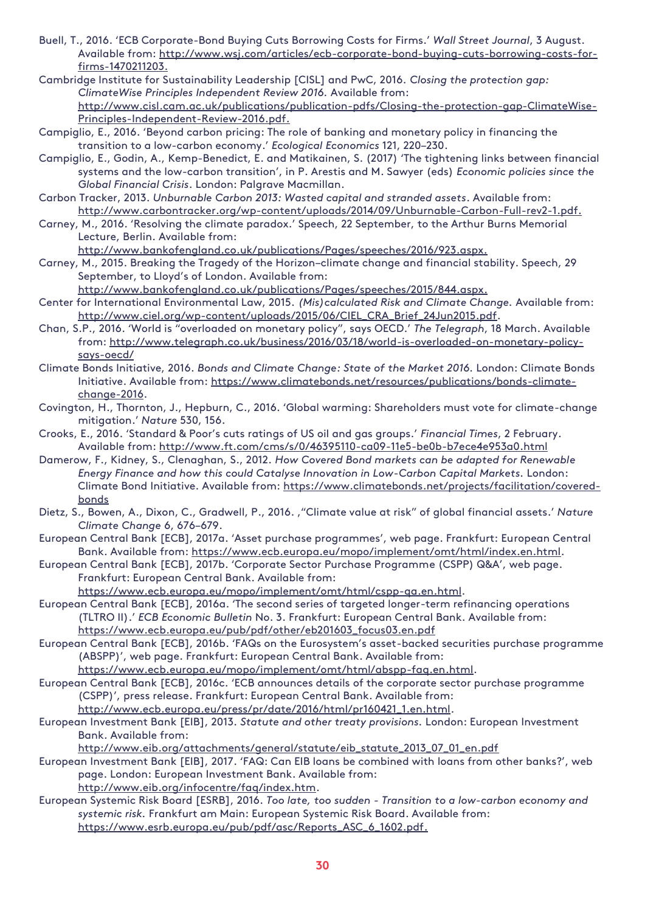- Buell, T., 2016. 'ECB Corporate-Bond Buying Cuts Borrowing Costs for Firms.' *Wall Street Journal*, 3 August. Available from: [http://www.wsj.com/articles/ecb-corporate-bond-buying-cuts-borrowing-costs-for](http://www.wsj.com/articles/ecb-corporate-bond-buying-cuts-borrowing-costs-for-firms-1470211203)[firms-1470211203.](http://www.wsj.com/articles/ecb-corporate-bond-buying-cuts-borrowing-costs-for-firms-1470211203)
- Cambridge Institute for Sustainability Leadership [CISL] and PwC, 2016*. Closing the protection gap: ClimateWise Principles Independent Review 2016.* Available from: [http://www.cisl.cam.ac.uk/publications/publication-pdfs/Closing-the-protection-gap-ClimateWise-](http://www.cisl.cam.ac.uk/publications/publication-pdfs/Closing-the-protection-gap-ClimateWise-Principles-Independent-Review-2016.pdf)[Principles-Independent-Review-2016.pdf.](http://www.cisl.cam.ac.uk/publications/publication-pdfs/Closing-the-protection-gap-ClimateWise-Principles-Independent-Review-2016.pdf)
- Campiglio, E., 2016. 'Beyond carbon pricing: The role of banking and monetary policy in financing the transition to a low-carbon economy.' *Ecological Economics* 121, 220–230.
- Campiglio, E., Godin, A., Kemp-Benedict, E. and Matikainen, S. (2017) 'The tightening links between financial systems and the low-carbon transition', in P. Arestis and M. Sawyer (eds) *Economic policies since the Global Financial Crisis*. London: Palgrave Macmillan.
- Carbon Tracker, 2013. *Unburnable Carbon 2013: Wasted capital and stranded assets*. Available from: [http://www.carbontracker.org/wp-content/uploads/2014/09/Unburnable-Carbon-Full-rev2-1.pdf.](http://www.carbontracker.org/wp-content/uploads/2014/09/Unburnable-Carbon-Full-rev2-1.pdf)
- Carney, M., 2016. 'Resolving the climate paradox.' Speech, 22 September, to the Arthur Burns Memorial Lecture, Berlin. Available from:

[http://www.bankofengland.co.uk/publications/Pages/speeches/2016/923.aspx.](http://www.bankofengland.co.uk/publications/Pages/speeches/2016/923.aspx)

Carney, M., 2015. Breaking the Tragedy of the Horizon–climate change and financial stability. Speech, 29 September, to Lloyd's of London. Available from:

[http://www.bankofengland.co.uk/publications/Pages/speeches/2015/844.aspx.](http://www.bankofengland.co.uk/publications/Pages/speeches/2015/844.aspx)

- Center for International Environmental Law, 2015. *(Mis)calculated Risk and Climate Change.* Available from: [http://www.ciel.org/wp-content/uploads/2015/06/CIEL\\_CRA\\_Brief\\_24Jun2015.pdf.](http://www.ciel.org/wp-content/uploads/2015/06/CIEL_CRA_Brief_24Jun2015.pdf)
- Chan, S.P., 2016. 'World is "overloaded on monetary policy", says OECD.' *The Telegraph*, 18 March. Available from: [http://www.telegraph.co.uk/business/2016/03/18/world-is-overloaded-on-monetary-policy](http://www.telegraph.co.uk/business/2016/03/18/world-is-overloaded-on-monetary-policy-says-oecd/)[says-oecd/](http://www.telegraph.co.uk/business/2016/03/18/world-is-overloaded-on-monetary-policy-says-oecd/)
- Climate Bonds Initiative, 2016. *Bonds and Climate Change: State of the Market 2016.* London: Climate Bonds Initiative. Available from: [https://www.climatebonds.net/resources/publications/bonds-climate](https://www.climatebonds.net/resources/publications/bonds-climate-change-2016)[change-2016.](https://www.climatebonds.net/resources/publications/bonds-climate-change-2016)
- Covington, H., Thornton, J., Hepburn, C., 2016. 'Global warming: Shareholders must vote for climate-change mitigation.' *Nature* 530, 156.
- Crooks, E., 2016. 'Standard & Poor's cuts ratings of US oil and gas groups.' *Financial Times*, 2 February. Available from:<http://www.ft.com/cms/s/0/46395110-ca09-11e5-be0b-b7ece4e953a0.html>
- Damerow, F., Kidney, S., Clenaghan, S., 2012. *How Covered Bond markets can be adapted for Renewable*  Energy Finance and how this could Catalyse Innovation in Low-Carbon Capital Markets. London: Climate Bond Initiative. Available from: [https://www.climatebonds.net/projects/facilitation/covered](https://www.climatebonds.net/projects/facilitation/covered-bonds)[bonds](https://www.climatebonds.net/projects/facilitation/covered-bonds)
- Dietz, S., Bowen, A., Dixon, C., Gradwell, P., 2016. '"Climate value at risk" of global financial assets.' *Nature Climate Change* 6, 676–679.
- European Central Bank [ECB], 2017a. 'Asset purchase programmes', web page. Frankfurt: European Central Bank. Available from: [https://www.ecb.europa.eu/mopo/implement/omt/html/index.en.html.](https://www.ecb.europa.eu/mopo/implement/omt/html/index.en.html)
- European Central Bank [ECB], 2017b. 'Corporate Sector Purchase Programme (CSPP) Q&A', web page. Frankfurt: European Central Bank. Available from:

[https://www.ecb.europa.eu/mopo/implement/omt/html/cspp-qa.en.html.](https://www.ecb.europa.eu/mopo/implement/omt/html/cspp-qa.en.html)

- European Central Bank [ECB], 2016a. 'The second series of targeted longer-term refinancing operations (TLTRO II).' *ECB Economic Bulletin* No. 3. Frankfurt: European Central Bank. Available from: [https://www.ecb.europa.eu/pub/pdf/other/eb201603\\_focus03.en.pdf](https://www.ecb.europa.eu/pub/pdf/other/eb201603_focus03.en.pdf)
- European Central Bank [ECB], 2016b. 'FAQs on the Eurosystem's asset-backed securities purchase programme (ABSPP)', web page. Frankfurt: European Central Bank. Available from:

[https://www.ecb.europa.eu/mopo/implement/omt/html/abspp-faq.en.html.](https://www.ecb.europa.eu/mopo/implement/omt/html/abspp-faq.en.html)

- European Central Bank [ECB], 2016c. 'ECB announces details of the corporate sector purchase programme (CSPP)', press release. Frankfurt: European Central Bank. Available from: [http://www.ecb.europa.eu/press/pr/date/2016/html/pr160421\\_1.en.html.](http://www.ecb.europa.eu/press/pr/date/2016/html/pr160421_1.en.html)
- European Investment Bank [EIB], 2013. *Statute and other treaty provisions.* London: European Investment Bank. Available from:

[http://www.eib.org/attachments/general/statute/eib\\_statute\\_2013\\_07\\_01\\_en.pdf](http://www.eib.org/attachments/general/statute/eib_statute_2013_07_01_en.pdf)

- European Investment Bank [EIB], 2017. 'FAQ: Can EIB loans be combined with loans from other banks?', web page. London: European Investment Bank. Available from: [http://www.eib.org/infocentre/faq/index.htm.](http://www.eib.org/infocentre/faq/index.htm)
- European Systemic Risk Board [ESRB], 2016. *Too late, too sudden - Transition to a low-carbon economy and systemic risk.* Frankfurt am Main: European Systemic Risk Board. Available from: [https://www.esrb.europa.eu/pub/pdf/asc/Reports\\_ASC\\_6\\_1602.pdf.](https://www.esrb.europa.eu/pub/pdf/asc/Reports_ASC_6_1602.pdf)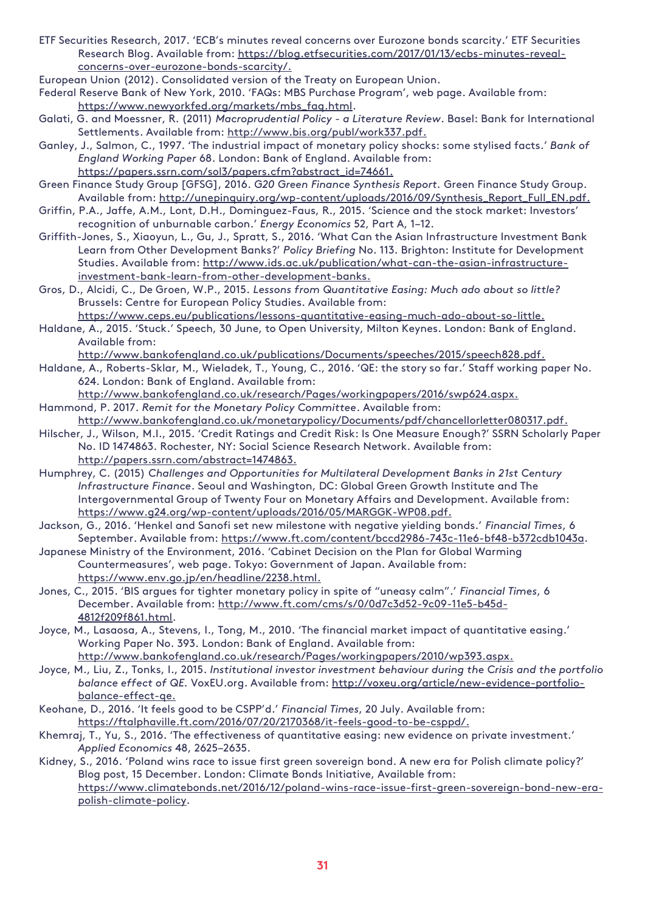ETF Securities Research, 2017. 'ECB's minutes reveal concerns over Eurozone bonds scarcity.' ETF Securities Research Blog. Available from: [https://blog.etfsecurities.com/2017/01/13/ecbs-minutes-reveal](https://blog.etfsecurities.com/2017/01/13/ecbs-minutes-reveal-concerns-over-eurozone-bonds-scarcity/)[concerns-over-eurozone-bonds-scarcity/.](https://blog.etfsecurities.com/2017/01/13/ecbs-minutes-reveal-concerns-over-eurozone-bonds-scarcity/)

European Union (2012). Consolidated version of the Treaty on European Union.

- Federal Reserve Bank of New York, 2010. 'FAQs: MBS Purchase Program', web page. Available from: [https://www.newyorkfed.org/markets/mbs\\_faq.html.](https://www.newyorkfed.org/markets/mbs_faq.html)
- Galati, G. and Moessner, R. (2011) *Macroprudential Policy - a Literature Review*. Basel: Bank for International Settlements. Available from: [http://www.bis.org/publ/work337.pdf.](http://www.bis.org/publ/work337.pdf)
- Ganley, J., Salmon, C., 1997. 'The industrial impact of monetary policy shocks: some stylised facts.' *Bank of England Working Paper* 68. London: Bank of England. Available from: [https://papers.ssrn.com/sol3/papers.cfm?abstract\\_id=74661.](https://papers.ssrn.com/sol3/papers.cfm?abstract_id=74661)
- Green Finance Study Group [GFSG], 2016. *G20 Green Finance Synthesis Report.* Green Finance Study Group. Available from: [http://unepinquiry.org/wp-content/uploads/2016/09/Synthesis\\_Report\\_Full\\_EN.pdf.](http://unepinquiry.org/wp-content/uploads/2016/09/Synthesis_Report_Full_EN.pdf)
- Griffin, P.A., Jaffe, A.M., Lont, D.H., Dominguez-Faus, R., 2015. 'Science and the stock market: Investors' recognition of unburnable carbon.' *Energy Economics* 52, Part A, 1–12.
- Griffith-Jones, S., Xiaoyun, L., Gu, J., Spratt, S., 2016. 'What Can the Asian Infrastructure Investment Bank Learn from Other Development Banks?' *Policy Briefing* No. 113. Brighton: Institute for Development Studies. Available from: [http://www.ids.ac.uk/publication/what-can-the-asian-infrastructure](http://www.ids.ac.uk/publication/what-can-the-asian-infrastructure-investment-bank-learn-from-other-development-banks)[investment-bank-learn-from-other-development-banks.](http://www.ids.ac.uk/publication/what-can-the-asian-infrastructure-investment-bank-learn-from-other-development-banks)
- Gros, D., Alcidi, C., De Groen, W.P., 2015. *Lessons from Quantitative Easing: Much ado about so little?* Brussels: Centre for European Policy Studies. Available from:

[https://www.ceps.eu/publications/lessons-quantitative-easing-much-ado-about-so-little.](https://www.ceps.eu/publications/lessons-quantitative-easing-much-ado-about-so-little) Haldane, A., 2015. 'Stuck.' Speech, 30 June, to Open University, Milton Keynes. London: Bank of England. Available from:

[http://www.bankofengland.co.uk/publications/Documents/speeches/2015/speech828.pdf.](http://www.bankofengland.co.uk/publications/Documents/speeches/2015/speech828.pdf)

Haldane, A., Roberts-Sklar, M., Wieladek, T., Young, C., 2016. 'QE: the story so far.' Staff working paper No. 624. London: Bank of England. Available from:

[http://www.bankofengland.co.uk/research/Pages/workingpapers/2016/swp624.aspx.](http://www.bankofengland.co.uk/research/Pages/workingpapers/2016/swp624.aspx) Hammond, P. 2017. *Remit for the Monetary Policy Committee*. Available from:

- [http://www.bankofengland.co.uk/monetarypolicy/Documents/pdf/chancellorletter080317.pdf.](http://www.bankofengland.co.uk/monetarypolicy/Documents/pdf/chancellorletter080317.pdf)
- Hilscher, J., Wilson, M.I., 2015. 'Credit Ratings and Credit Risk: Is One Measure Enough?' SSRN Scholarly Paper No. ID 1474863. Rochester, NY: Social Science Research Network. Available from: [http://papers.ssrn.com/abstract=1474863.](http://papers.ssrn.com/abstract=1474863)
- Humphrey, C. (2015) *Challenges and Opportunities for Multilateral Development Banks in 21st Century Infrastructure Finance*. Seoul and Washington, DC: Global Green Growth Institute and The Intergovernmental Group of Twenty Four on Monetary Affairs and Development. Available from: [https://www.g24.org/wp-content/uploads/2016/05/MARGGK-WP08.pdf.](https://www.g24.org/wp-content/uploads/2016/05/MARGGK-WP08.pdf)
- Jackson, G., 2016. 'Henkel and Sanofi set new milestone with negative yielding bonds.' *Financial Times*, 6 September. Available from: [https://www.ft.com/content/bccd2986-743c-11e6-bf48-b372cdb1043a.](https://www.ft.com/content/bccd2986-743c-11e6-bf48-b372cdb1043a)
- Japanese Ministry of the Environment, 2016. 'Cabinet Decision on the Plan for Global Warming Countermeasures', web page. Tokyo: Government of Japan. Available from: [https://www.env.go.jp/en/headline/2238.html.](https://www.env.go.jp/en/headline/2238.html)
- Jones, C., 2015. 'BIS argues for tighter monetary policy in spite of "uneasy calm".' *Financial Times*, 6 December. Available from: [http://www.ft.com/cms/s/0/0d7c3d52-9c09-11e5-b45d-](http://www.ft.com/cms/s/0/0d7c3d52-9c09-11e5-b45d-4812f209f861.html)[4812f209f861.html.](http://www.ft.com/cms/s/0/0d7c3d52-9c09-11e5-b45d-4812f209f861.html)
- Joyce, M., Lasaosa, A., Stevens, I., Tong, M., 2010. 'The financial market impact of quantitative easing.' Working Paper No. 393. London: Bank of England. Available from: [http://www.bankofengland.co.uk/research/Pages/workingpapers/2010/wp393.aspx.](http://www.bankofengland.co.uk/research/Pages/workingpapers/2010/wp393.aspx)
- Joyce, M., Liu, Z., Tonks, I., 2015. *Institutional investor investment behaviour during the Crisis and the portfolio balance effect of QE.* VoxEU.org. Available from: [http://voxeu.org/article/new-evidence-portfolio](http://voxeu.org/article/new-evidence-portfolio-balance-effect-qe)[balance-effect-qe.](http://voxeu.org/article/new-evidence-portfolio-balance-effect-qe)
- Keohane, D., 2016. 'It feels good to be CSPP'd.' *Financial Times*, 20 July. Available from: [https://ftalphaville.ft.com/2016/07/20/2170368/it-feels-good-to-be-csppd/.](https://ftalphaville.ft.com/2016/07/20/2170368/it-feels-good-to-be-csppd/)
- Khemraj, T., Yu, S., 2016. 'The effectiveness of quantitative easing: new evidence on private investment.' *Applied Economics* 48, 2625–2635.
- Kidney, S., 2016. 'Poland wins race to issue first green sovereign bond. A new era for Polish climate policy?' Blog post, 15 December. London: Climate Bonds Initiative, Available from: [https://www.climatebonds.net/2016/12/poland-wins-race-issue-first-green-sovereign-bond-new-era](https://www.climatebonds.net/2016/12/poland-wins-race-issue-first-green-sovereign-bond-new-era-polish-climate-policy)[polish-climate-policy.](https://www.climatebonds.net/2016/12/poland-wins-race-issue-first-green-sovereign-bond-new-era-polish-climate-policy)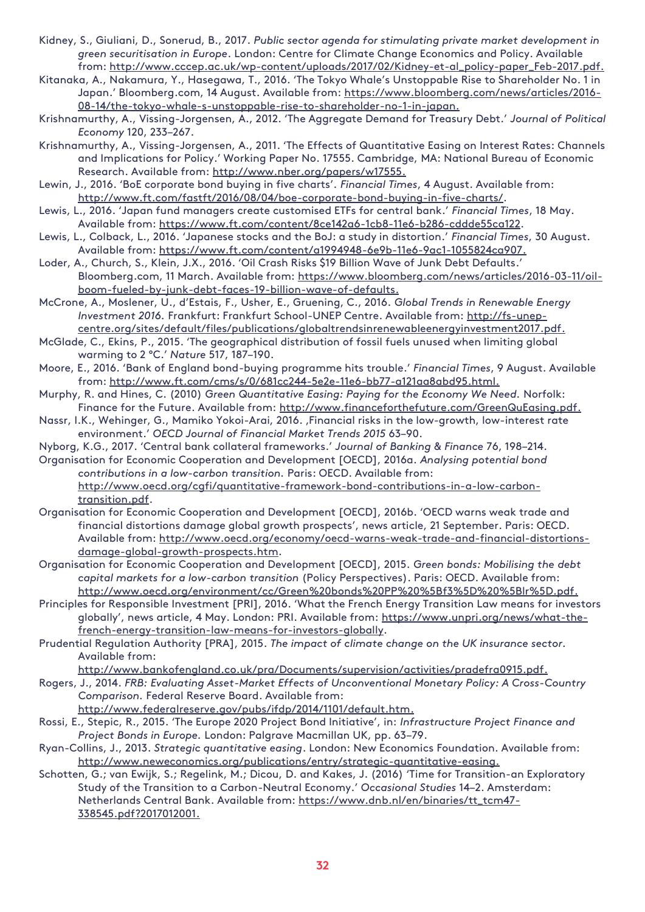- Kidney, S., Giuliani, D., Sonerud, B., 2017. *Public sector agenda for stimulating private market development in green securitisation in Europe*. London: Centre for Climate Change Economics and Policy. Available from: [http://www.cccep.ac.uk/wp-content/uploads/2017/02/Kidney-et-al\\_policy-paper\\_Feb-2017.pdf.](http://www.cccep.ac.uk/wp-content/uploads/2017/02/Kidney-et-al_policy-paper_Feb-2017.pdf)
- Kitanaka, A., Nakamura, Y., Hasegawa, T., 2016. 'The Tokyo Whale's Unstoppable Rise to Shareholder No. 1 in Japan.' Bloomberg.com, 14 August. Available from: [https://www.bloomberg.com/news/articles/2016-](https://www.bloomberg.com/news/articles/2016-08-14/the-tokyo-whale-s-unstoppable-rise-to-shareholder-no-1-in-japan) [08-14/the-tokyo-whale-s-unstoppable-rise-to-shareholder-no-1-in-japan.](https://www.bloomberg.com/news/articles/2016-08-14/the-tokyo-whale-s-unstoppable-rise-to-shareholder-no-1-in-japan)
- Krishnamurthy, A., Vissing-Jorgensen, A., 2012. 'The Aggregate Demand for Treasury Debt.' *Journal of Political Economy* 120, 233–267.
- Krishnamurthy, A., Vissing-Jorgensen, A., 2011. 'The Effects of Quantitative Easing on Interest Rates: Channels and Implications for Policy.' Working Paper No. 17555. Cambridge, MA: National Bureau of Economic Research. Available from: [http://www.nber.org/papers/w17555.](http://www.nber.org/papers/w17555)
- Lewin, J., 2016. 'BoE corporate bond buying in five charts'. *Financial Times*, 4 August. Available from: [http://www.ft.com/fastft/2016/08/04/boe-corporate-bond-buying-in-five-charts/.](http://www.ft.com/fastft/2016/08/04/boe-corporate-bond-buying-in-five-charts/)
- Lewis, L., 2016. 'Japan fund managers create customised ETFs for central bank.' *Financial Times*, 18 May. Available from: [https://www.ft.com/content/8ce142a6-1cb8-11e6-b286-cddde55ca122.](https://www.ft.com/content/8ce142a6-1cb8-11e6-b286-cddde55ca122)
- Lewis, L., Colback, L., 2016. 'Japanese stocks and the BoJ: a study in distortion.' *Financial Times*, 30 August. Available from: [https://www.ft.com/content/a1994948-6e9b-11e6-9ac1-1055824ca907.](https://www.ft.com/content/a1994948-6e9b-11e6-9ac1-1055824ca907)
- Loder, A., Church, S., Klein, J.X., 2016. 'Oil Crash Risks \$19 Billion Wave of Junk Debt Defaults.' Bloomberg.com, 11 March. Available from: [https://www.bloomberg.com/news/articles/2016-03-11/oil](https://www.bloomberg.com/news/articles/2016-03-11/oil-boom-fueled-by-junk-debt-faces-19-billion-wave-of-defaults)[boom-fueled-by-junk-debt-faces-19-billion-wave-of-defaults.](https://www.bloomberg.com/news/articles/2016-03-11/oil-boom-fueled-by-junk-debt-faces-19-billion-wave-of-defaults)
- McCrone, A., Moslener, U., d'Estais, F., Usher, E., Gruening, C., 2016. *Global Trends in Renewable Energy Investment 2016.* Frankfurt: Frankfurt School-UNEP Centre. Available from: [http://fs-unep](http://fs-unep-centre.org/sites/default/files/publications/globaltrendsinrenewableenergyinvestment2017.pdf)[centre.org/sites/default/files/publications/globaltrendsinrenewableenergyinvestment2017.pdf.](http://fs-unep-centre.org/sites/default/files/publications/globaltrendsinrenewableenergyinvestment2017.pdf)
- McGlade, C., Ekins, P., 2015. 'The geographical distribution of fossil fuels unused when limiting global warming to 2 °C.' *Nature* 517, 187–190.
- Moore, E., 2016. 'Bank of England bond-buying programme hits trouble.' *Financial Times*, 9 August. Available from: [http://www.ft.com/cms/s/0/681cc244-5e2e-11e6-bb77-a121aa8abd95.html.](http://www.ft.com/cms/s/0/681cc244-5e2e-11e6-bb77-a121aa8abd95.html)
- Murphy, R. and Hines, C. (2010) *Green Quantitative Easing: Paying for the Economy We Need.* Norfolk: Finance for the Future. Available from: [http://www.financeforthefuture.com/GreenQuEasing.pdf.](http://www.financeforthefuture.com/GreenQuEasing.pdf)
- Nassr, I.K., Wehinger, G., Mamiko Yokoi-Arai, 2016. ,Financial risks in the low-growth, low-interest rate environment.' *OECD Journal of Financial Market Trends 2015* 63–90.
- Nyborg, K.G., 2017. 'Central bank collateral frameworks.' *Journal of Banking & Finance* 76, 198–214.
- Organisation for Economic Cooperation and Development [OECD], 2016a. *Analysing potential bond contributions in a low-carbon transition.* Paris: OECD. Available from: [http://www.oecd.org/cgfi/quantitative-framework-bond-contributions-in-a-low-carbon-](http://www.oecd.org/cgfi/quantitative-framework-bond-contributions-in-a-low-carbon-transition.pdf)

[transition.pdf.](http://www.oecd.org/cgfi/quantitative-framework-bond-contributions-in-a-low-carbon-transition.pdf) Organisation for Economic Cooperation and Development [OECD], 2016b. 'OECD warns weak trade and financial distortions damage global growth prospects', news article, 21 September. Paris: OECD. Available from: [http://www.oecd.org/economy/oecd-warns-weak-trade-and-financial-distortions](http://www.oecd.org/economy/oecd-warns-weak-trade-and-financial-distortions-damage-global-growth-prospects.htm)[damage-global-growth-prospects.htm.](http://www.oecd.org/economy/oecd-warns-weak-trade-and-financial-distortions-damage-global-growth-prospects.htm)

- Organisation for Economic Cooperation and Development [OECD], 2015. *Green bonds: Mobilising the debt capital markets for a low-carbon transition* (Policy Perspectives). Paris: OECD. Available from: [http://www.oecd.org/environment/cc/Green%20bonds%20PP%20%5Bf3%5D%20%5Blr%5D.pdf.](http://www.oecd.org/environment/cc/Green%20bonds%20PP%20%5Bf3%5D%20%5Blr%5D.pdf)
- Principles for Responsible Investment [PRI], 2016. 'What the French Energy Transition Law means for investors globally', news article, 4 May. London: PRI. Available from: [https://www.unpri.org/news/what-the](https://www.unpri.org/news/what-the-french-energy-transition-law-means-for-investors-globally)[french-energy-transition-law-means-for-investors-globally.](https://www.unpri.org/news/what-the-french-energy-transition-law-means-for-investors-globally)
- Prudential Regulation Authority [PRA], 2015. *The impact of climate change on the UK insurance sector.*  Available from:

[http://www.bankofengland.co.uk/pra/Documents/supervision/activities/pradefra0915.pdf.](http://www.bankofengland.co.uk/pra/Documents/supervision/activities/pradefra0915.pdf)

- Rogers, J., 2014. *FRB: Evaluating Asset-Market Effects of Unconventional Monetary Policy: A Cross-Country Comparison.* Federal Reserve Board. Available from:
	- [http://www.federalreserve.gov/pubs/ifdp/2014/1101/default.htm.](http://www.federalreserve.gov/pubs/ifdp/2014/1101/default.htm)
- Rossi, E., Stepic, R., 2015. 'The Europe 2020 Project Bond Initiative', in: *Infrastructure Project Finance and Project Bonds in Europe.* London: Palgrave Macmillan UK, pp. 63–79.
- Ryan-Collins, J., 2013. *Strategic quantitative easing*. London: New Economics Foundation. Available from: [http://www.neweconomics.org/publications/entry/strategic-quantitative-easing.](http://www.neweconomics.org/publications/entry/strategic-quantitative-easing)
- Schotten, G.; van Ewijk, S.; Regelink, M.; Dicou, D. and Kakes, J. (2016) 'Time for Transition-an Exploratory Study of the Transition to a Carbon-Neutral Economy.' *Occasional Studies* 14–2. Amsterdam: Netherlands Central Bank. Available from: [https://www.dnb.nl/en/binaries/tt\\_tcm47-](https://www.dnb.nl/en/binaries/tt_tcm47-338545.pdf?2017012001) [338545.pdf?2017012001.](https://www.dnb.nl/en/binaries/tt_tcm47-338545.pdf?2017012001)